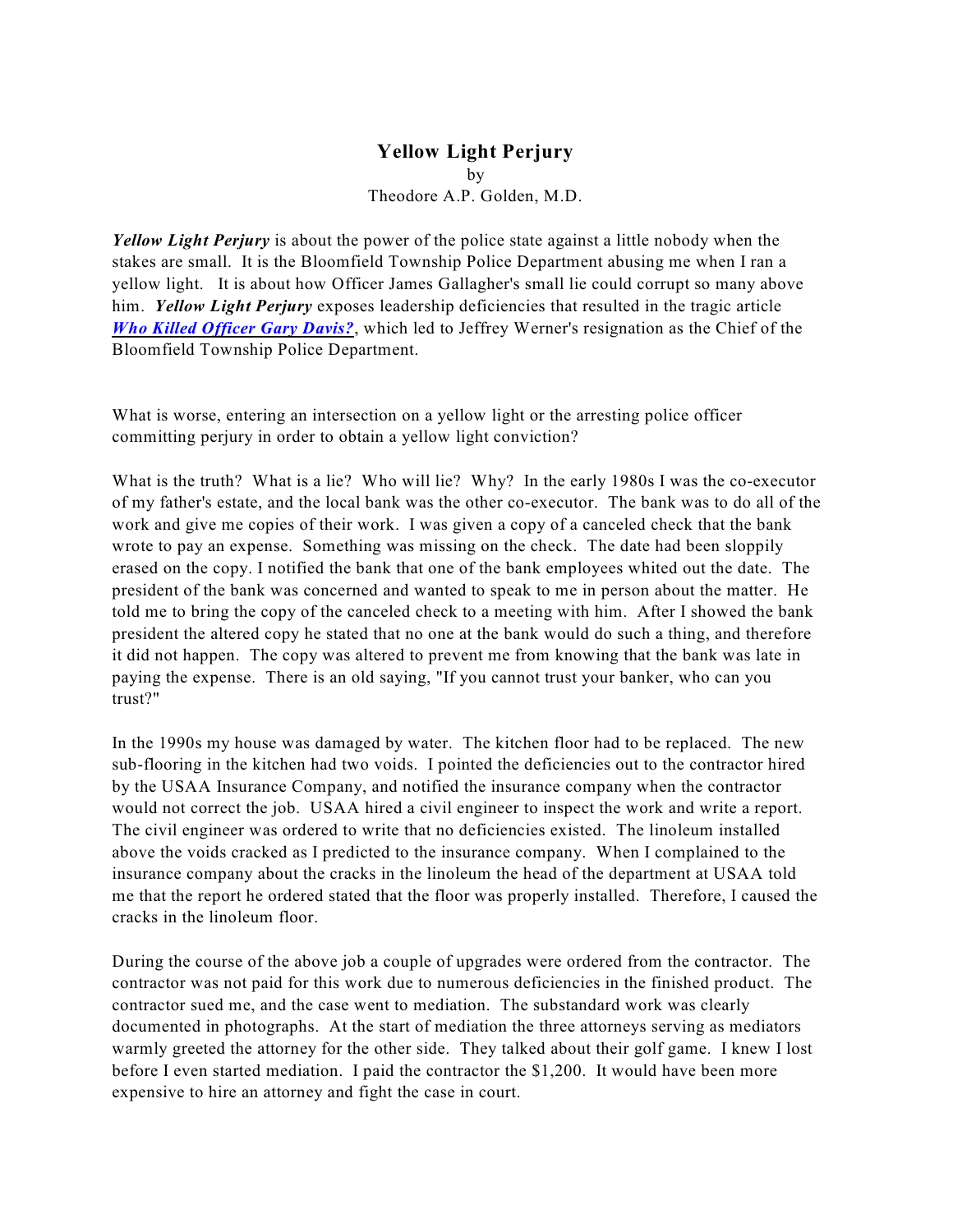# **Yellow Light Perjury** by Theodore A.P. Golden, M.D.

*Yellow Light Perjury* is about the power of the police state against a little nobody when the stakes are small. It is the Bloomfield Township Police Department abusing me when I ran a yellow light. It is about how Officer James Gallagher's small lie could corrupt so many above him. *Yellow Light Perjury* exposes leadership deficiencies that resulted in the tragic article *[Who Killed Officer Gary Davis?](http://www.tagolden.com/garydavis.pdf)*, which led to Jeffrey Werner's resignation as the Chief of the Bloomfield Township Police Department.

What is worse, entering an intersection on a yellow light or the arresting police officer committing perjury in order to obtain a yellow light conviction?

What is the truth? What is a lie? Who will lie? Why? In the early 1980s I was the co-executor of my father's estate, and the local bank was the other co-executor. The bank was to do all of the work and give me copies of their work. I was given a copy of a canceled check that the bank wrote to pay an expense. Something was missing on the check. The date had been sloppily erased on the copy. I notified the bank that one of the bank employees whited out the date. The president of the bank was concerned and wanted to speak to me in person about the matter. He told me to bring the copy of the canceled check to a meeting with him. After I showed the bank president the altered copy he stated that no one at the bank would do such a thing, and therefore it did not happen. The copy was altered to prevent me from knowing that the bank was late in paying the expense. There is an old saying, "If you cannot trust your banker, who can you trust?"

In the 1990s my house was damaged by water. The kitchen floor had to be replaced. The new sub-flooring in the kitchen had two voids. I pointed the deficiencies out to the contractor hired by the USAA Insurance Company, and notified the insurance company when the contractor would not correct the job. USAA hired a civil engineer to inspect the work and write a report. The civil engineer was ordered to write that no deficiencies existed. The linoleum installed above the voids cracked as I predicted to the insurance company. When I complained to the insurance company about the cracks in the linoleum the head of the department at USAA told me that the report he ordered stated that the floor was properly installed. Therefore, I caused the cracks in the linoleum floor.

During the course of the above job a couple of upgrades were ordered from the contractor. The contractor was not paid for this work due to numerous deficiencies in the finished product. The contractor sued me, and the case went to mediation. The substandard work was clearly documented in photographs. At the start of mediation the three attorneys serving as mediators warmly greeted the attorney for the other side. They talked about their golf game. I knew I lost before I even started mediation. I paid the contractor the \$1,200. It would have been more expensive to hire an attorney and fight the case in court.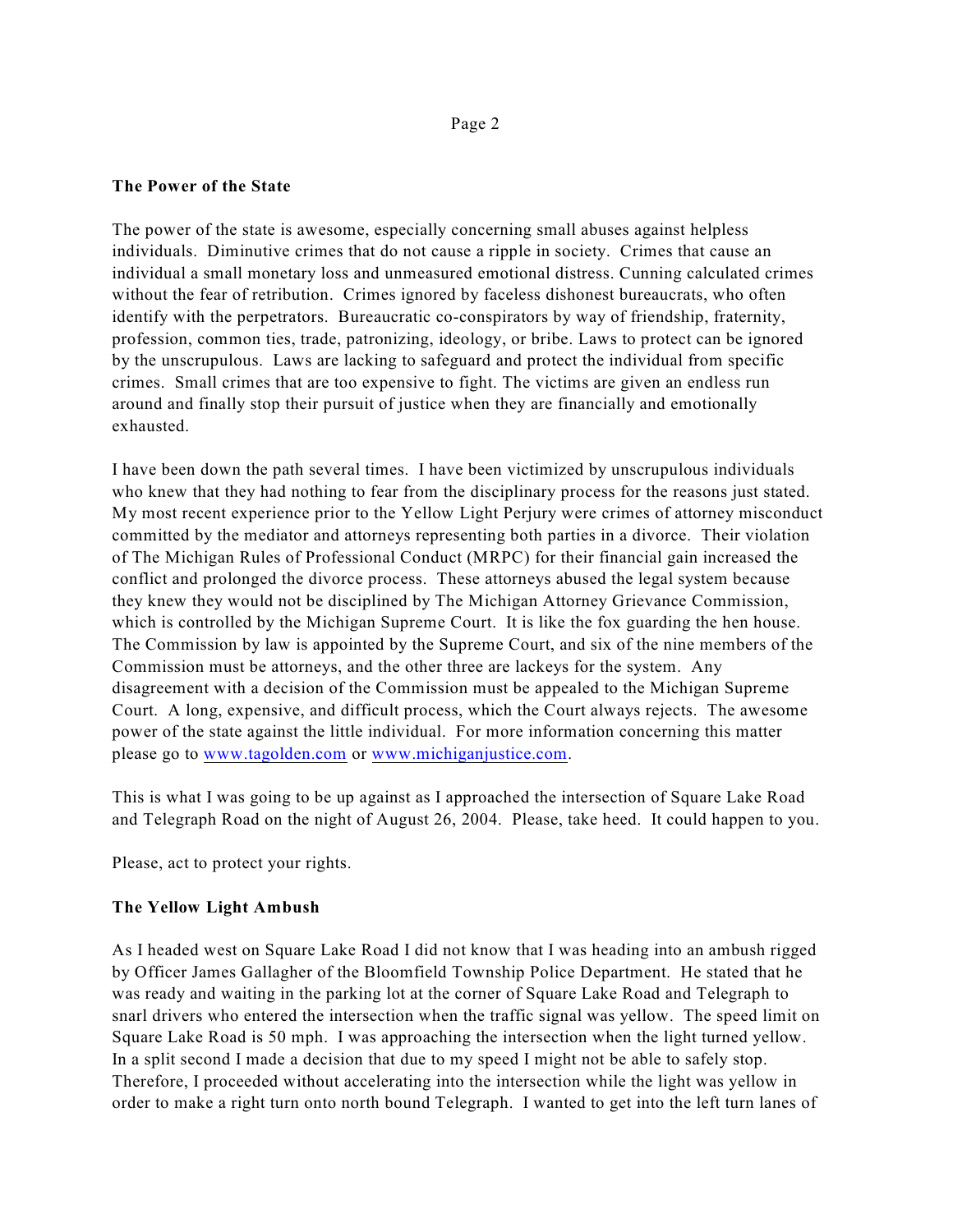### **The Power of the State**

The power of the state is awesome, especially concerning small abuses against helpless individuals. Diminutive crimes that do not cause a ripple in society. Crimes that cause an individual a small monetary loss and unmeasured emotional distress. Cunning calculated crimes without the fear of retribution. Crimes ignored by faceless dishonest bureaucrats, who often identify with the perpetrators. Bureaucratic co-conspirators by way of friendship, fraternity, profession, common ties, trade, patronizing, ideology, or bribe. Laws to protect can be ignored by the unscrupulous. Laws are lacking to safeguard and protect the individual from specific crimes. Small crimes that are too expensive to fight. The victims are given an endless run around and finally stop their pursuit of justice when they are financially and emotionally exhausted.

I have been down the path several times. I have been victimized by unscrupulous individuals who knew that they had nothing to fear from the disciplinary process for the reasons just stated. My most recent experience prior to the Yellow Light Perjury were crimes of attorney misconduct committed by the mediator and attorneys representing both parties in a divorce. Their violation of The Michigan Rules of Professional Conduct (MRPC) for their financial gain increased the conflict and prolonged the divorce process. These attorneys abused the legal system because they knew they would not be disciplined by The Michigan Attorney Grievance Commission, which is controlled by the Michigan Supreme Court. It is like the fox guarding the hen house. The Commission by law is appointed by the Supreme Court, and six of the nine members of the Commission must be attorneys, and the other three are lackeys for the system. Any disagreement with a decision of the Commission must be appealed to the Michigan Supreme Court. A long, expensive, and difficult process, which the Court always rejects. The awesome power of the state against the little individual. For more information concerning this matter please go to [www.tagolden.com](http://www.tagolden.com) or [www.michiganjustice.com](http://www.tagolden.com).

This is what I was going to be up against as I approached the intersection of Square Lake Road and Telegraph Road on the night of August 26, 2004. Please, take heed. It could happen to you.

Please, act to protect your rights.

# **The Yellow Light Ambush**

As I headed west on Square Lake Road I did not know that I was heading into an ambush rigged by Officer James Gallagher of the Bloomfield Township Police Department. He stated that he was ready and waiting in the parking lot at the corner of Square Lake Road and Telegraph to snarl drivers who entered the intersection when the traffic signal was yellow. The speed limit on Square Lake Road is 50 mph. I was approaching the intersection when the light turned yellow. In a split second I made a decision that due to my speed I might not be able to safely stop. Therefore, I proceeded without accelerating into the intersection while the light was yellow in order to make a right turn onto north bound Telegraph. I wanted to get into the left turn lanes of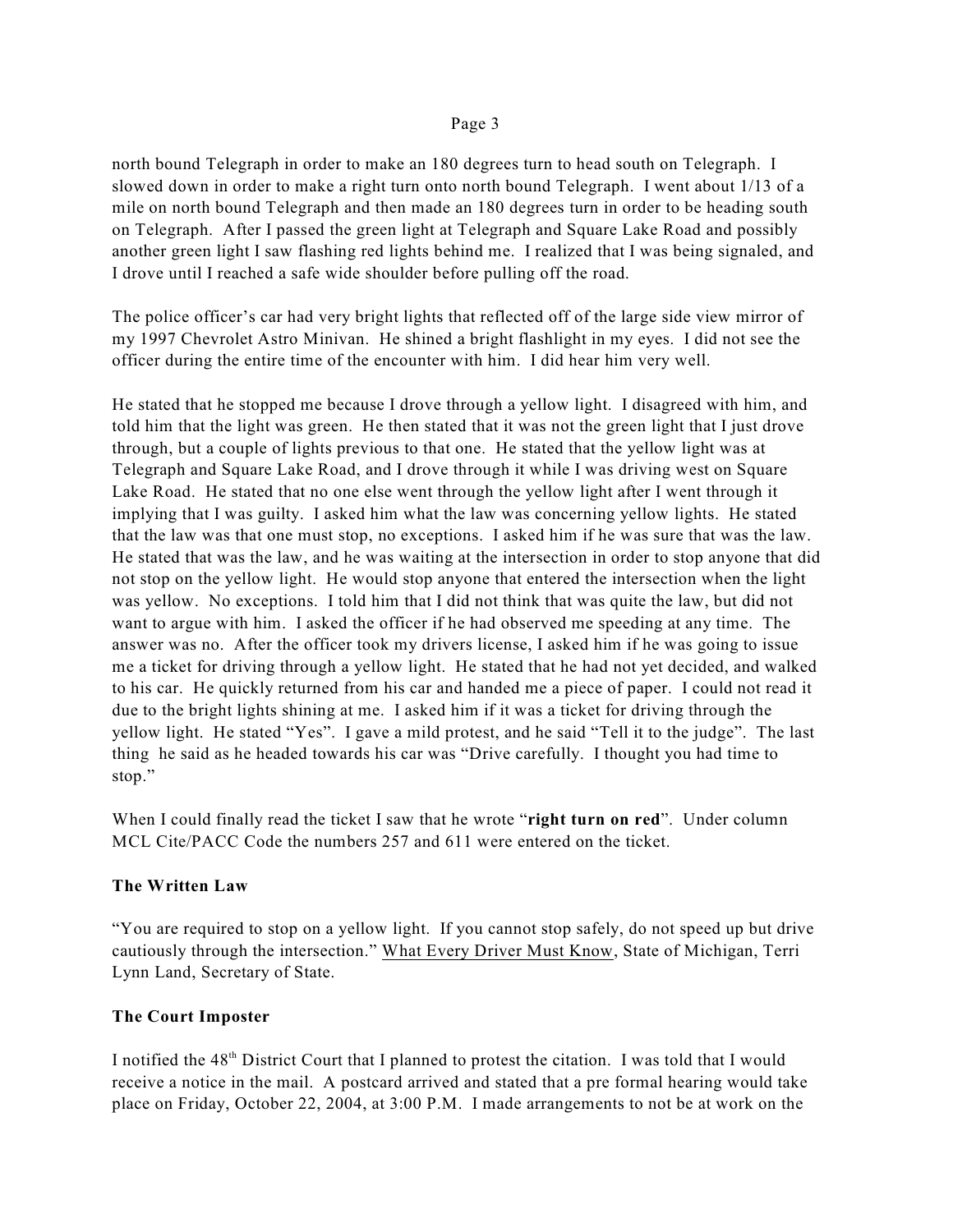north bound Telegraph in order to make an 180 degrees turn to head south on Telegraph. I slowed down in order to make a right turn onto north bound Telegraph. I went about 1/13 of a mile on north bound Telegraph and then made an 180 degrees turn in order to be heading south on Telegraph. After I passed the green light at Telegraph and Square Lake Road and possibly another green light I saw flashing red lights behind me. I realized that I was being signaled, and I drove until I reached a safe wide shoulder before pulling off the road.

The police officer's car had very bright lights that reflected off of the large side view mirror of my 1997 Chevrolet Astro Minivan. He shined a bright flashlight in my eyes. I did not see the officer during the entire time of the encounter with him. I did hear him very well.

He stated that he stopped me because I drove through a yellow light. I disagreed with him, and told him that the light was green. He then stated that it was not the green light that I just drove through, but a couple of lights previous to that one. He stated that the yellow light was at Telegraph and Square Lake Road, and I drove through it while I was driving west on Square Lake Road. He stated that no one else went through the yellow light after I went through it implying that I was guilty. I asked him what the law was concerning yellow lights. He stated that the law was that one must stop, no exceptions. I asked him if he was sure that was the law. He stated that was the law, and he was waiting at the intersection in order to stop anyone that did not stop on the yellow light. He would stop anyone that entered the intersection when the light was yellow. No exceptions. I told him that I did not think that was quite the law, but did not want to argue with him. I asked the officer if he had observed me speeding at any time. The answer was no. After the officer took my drivers license, I asked him if he was going to issue me a ticket for driving through a yellow light. He stated that he had not yet decided, and walked to his car. He quickly returned from his car and handed me a piece of paper. I could not read it due to the bright lights shining at me. I asked him if it was a ticket for driving through the yellow light. He stated "Yes". I gave a mild protest, and he said "Tell it to the judge". The last thing he said as he headed towards his car was "Drive carefully. I thought you had time to stop."

When I could finally read the ticket I saw that he wrote "**right turn on red**". Under column MCL Cite/PACC Code the numbers 257 and 611 were entered on the ticket.

## **The Written Law**

"You are required to stop on a yellow light. If you cannot stop safely, do not speed up but drive cautiously through the intersection." What Every Driver Must Know, State of Michigan, Terri Lynn Land, Secretary of State.

## **The Court Imposter**

I notified the 48<sup>th</sup> District Court that I planned to protest the citation. I was told that I would receive a notice in the mail. A postcard arrived and stated that a pre formal hearing would take place on Friday, October 22, 2004, at 3:00 P.M. I made arrangements to not be at work on the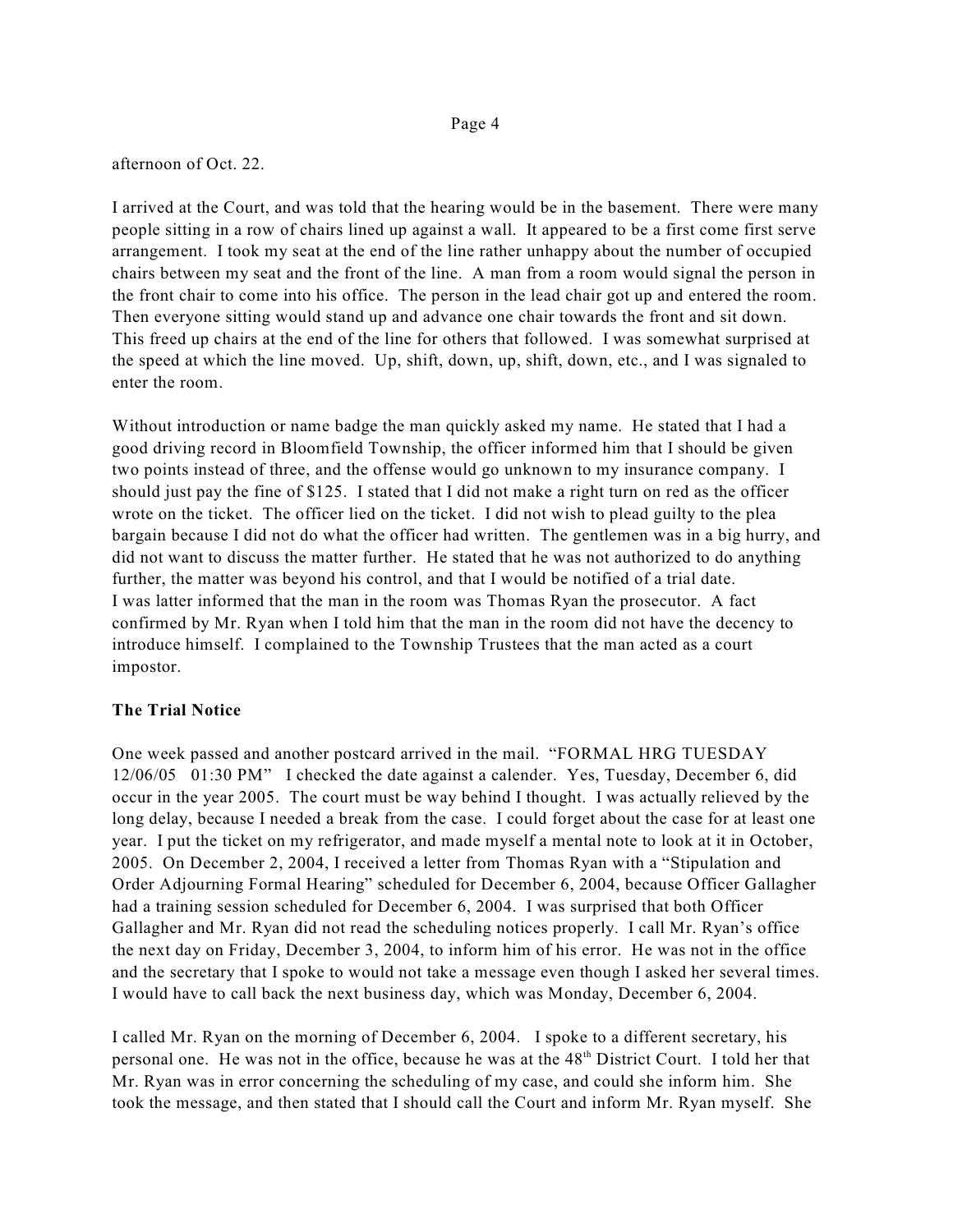afternoon of Oct. 22.

I arrived at the Court, and was told that the hearing would be in the basement. There were many people sitting in a row of chairs lined up against a wall. It appeared to be a first come first serve arrangement. I took my seat at the end of the line rather unhappy about the number of occupied chairs between my seat and the front of the line. A man from a room would signal the person in the front chair to come into his office. The person in the lead chair got up and entered the room. Then everyone sitting would stand up and advance one chair towards the front and sit down. This freed up chairs at the end of the line for others that followed. I was somewhat surprised at the speed at which the line moved. Up, shift, down, up, shift, down, etc., and I was signaled to enter the room.

Without introduction or name badge the man quickly asked my name. He stated that I had a good driving record in Bloomfield Township, the officer informed him that I should be given two points instead of three, and the offense would go unknown to my insurance company. I should just pay the fine of \$125. I stated that I did not make a right turn on red as the officer wrote on the ticket. The officer lied on the ticket. I did not wish to plead guilty to the plea bargain because I did not do what the officer had written. The gentlemen was in a big hurry, and did not want to discuss the matter further. He stated that he was not authorized to do anything further, the matter was beyond his control, and that I would be notified of a trial date. I was latter informed that the man in the room was Thomas Ryan the prosecutor. A fact confirmed by Mr. Ryan when I told him that the man in the room did not have the decency to introduce himself. I complained to the Township Trustees that the man acted as a court impostor.

# **The Trial Notice**

One week passed and another postcard arrived in the mail. "FORMAL HRG TUESDAY 12/06/05 01:30 PM" I checked the date against a calender. Yes, Tuesday, December 6, did occur in the year 2005. The court must be way behind I thought. I was actually relieved by the long delay, because I needed a break from the case. I could forget about the case for at least one year. I put the ticket on my refrigerator, and made myself a mental note to look at it in October, 2005. On December 2, 2004, I received a letter from Thomas Ryan with a "Stipulation and Order Adjourning Formal Hearing" scheduled for December 6, 2004, because Officer Gallagher had a training session scheduled for December 6, 2004. I was surprised that both Officer Gallagher and Mr. Ryan did not read the scheduling notices properly. I call Mr. Ryan's office the next day on Friday, December 3, 2004, to inform him of his error. He was not in the office and the secretary that I spoke to would not take a message even though I asked her several times. I would have to call back the next business day, which was Monday, December 6, 2004.

I called Mr. Ryan on the morning of December 6, 2004. I spoke to a different secretary, his personal one. He was not in the office, because he was at the 48<sup>th</sup> District Court. I told her that Mr. Ryan was in error concerning the scheduling of my case, and could she inform him. She took the message, and then stated that I should call the Court and inform Mr. Ryan myself. She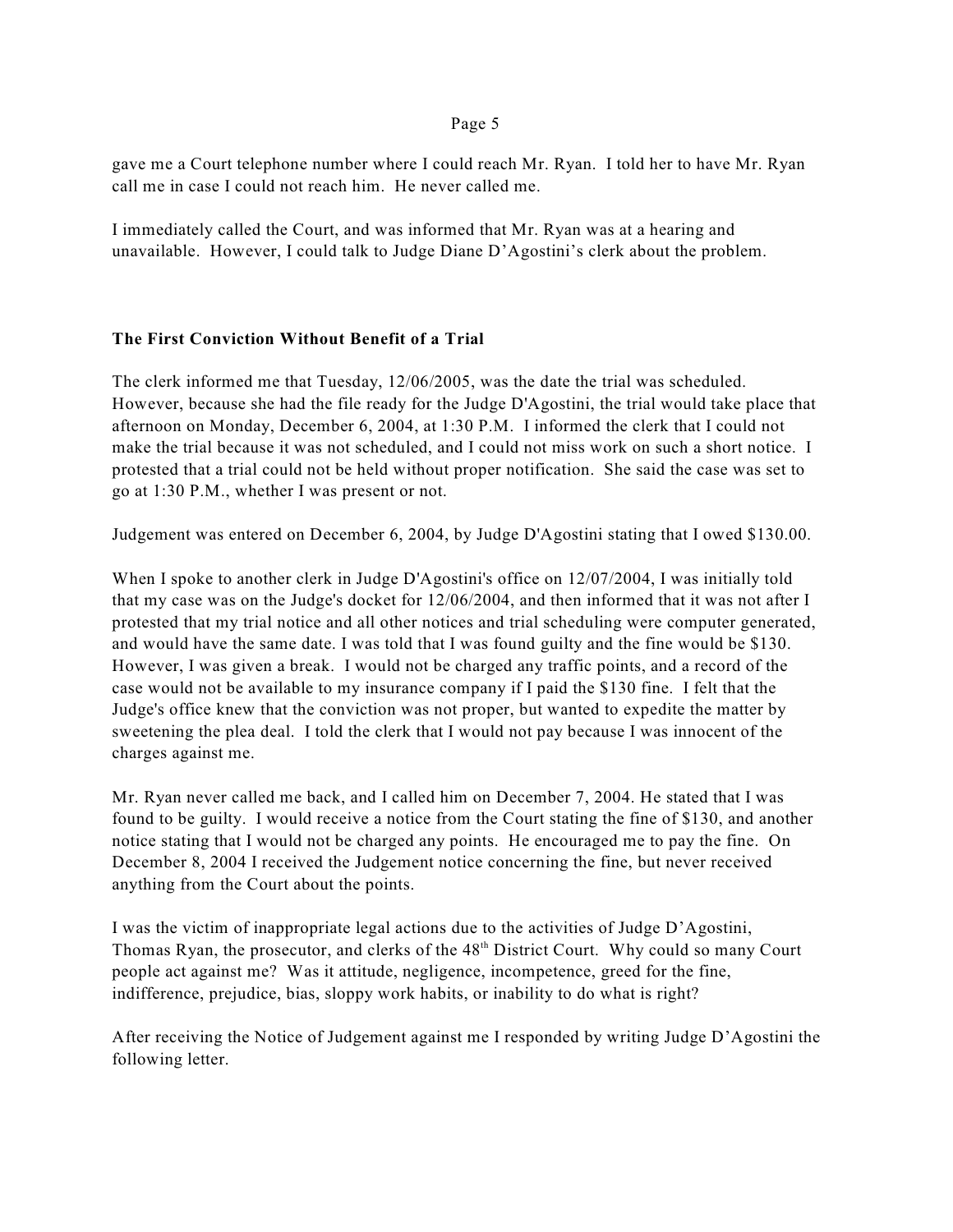gave me a Court telephone number where I could reach Mr. Ryan. I told her to have Mr. Ryan call me in case I could not reach him. He never called me.

I immediately called the Court, and was informed that Mr. Ryan was at a hearing and unavailable. However, I could talk to Judge Diane D'Agostini's clerk about the problem.

# **The First Conviction Without Benefit of a Trial**

The clerk informed me that Tuesday, 12/06/2005, was the date the trial was scheduled. However, because she had the file ready for the Judge D'Agostini, the trial would take place that afternoon on Monday, December 6, 2004, at 1:30 P.M. I informed the clerk that I could not make the trial because it was not scheduled, and I could not miss work on such a short notice. I protested that a trial could not be held without proper notification. She said the case was set to go at 1:30 P.M., whether I was present or not.

Judgement was entered on December 6, 2004, by Judge D'Agostini stating that I owed \$130.00.

When I spoke to another clerk in Judge D'Agostini's office on  $12/07/2004$ , I was initially told that my case was on the Judge's docket for 12/06/2004, and then informed that it was not after I protested that my trial notice and all other notices and trial scheduling were computer generated, and would have the same date. I was told that I was found guilty and the fine would be \$130. However, I was given a break. I would not be charged any traffic points, and a record of the case would not be available to my insurance company if I paid the \$130 fine. I felt that the Judge's office knew that the conviction was not proper, but wanted to expedite the matter by sweetening the plea deal. I told the clerk that I would not pay because I was innocent of the charges against me.

Mr. Ryan never called me back, and I called him on December 7, 2004. He stated that I was found to be guilty. I would receive a notice from the Court stating the fine of \$130, and another notice stating that I would not be charged any points. He encouraged me to pay the fine. On December 8, 2004 I received the Judgement notice concerning the fine, but never received anything from the Court about the points.

I was the victim of inappropriate legal actions due to the activities of Judge D'Agostini, Thomas Ryan, the prosecutor, and clerks of the 48<sup>th</sup> District Court. Why could so many Court people act against me? Was it attitude, negligence, incompetence, greed for the fine, indifference, prejudice, bias, sloppy work habits, or inability to do what is right?

After receiving the Notice of Judgement against me I responded by writing Judge D'Agostini the following letter.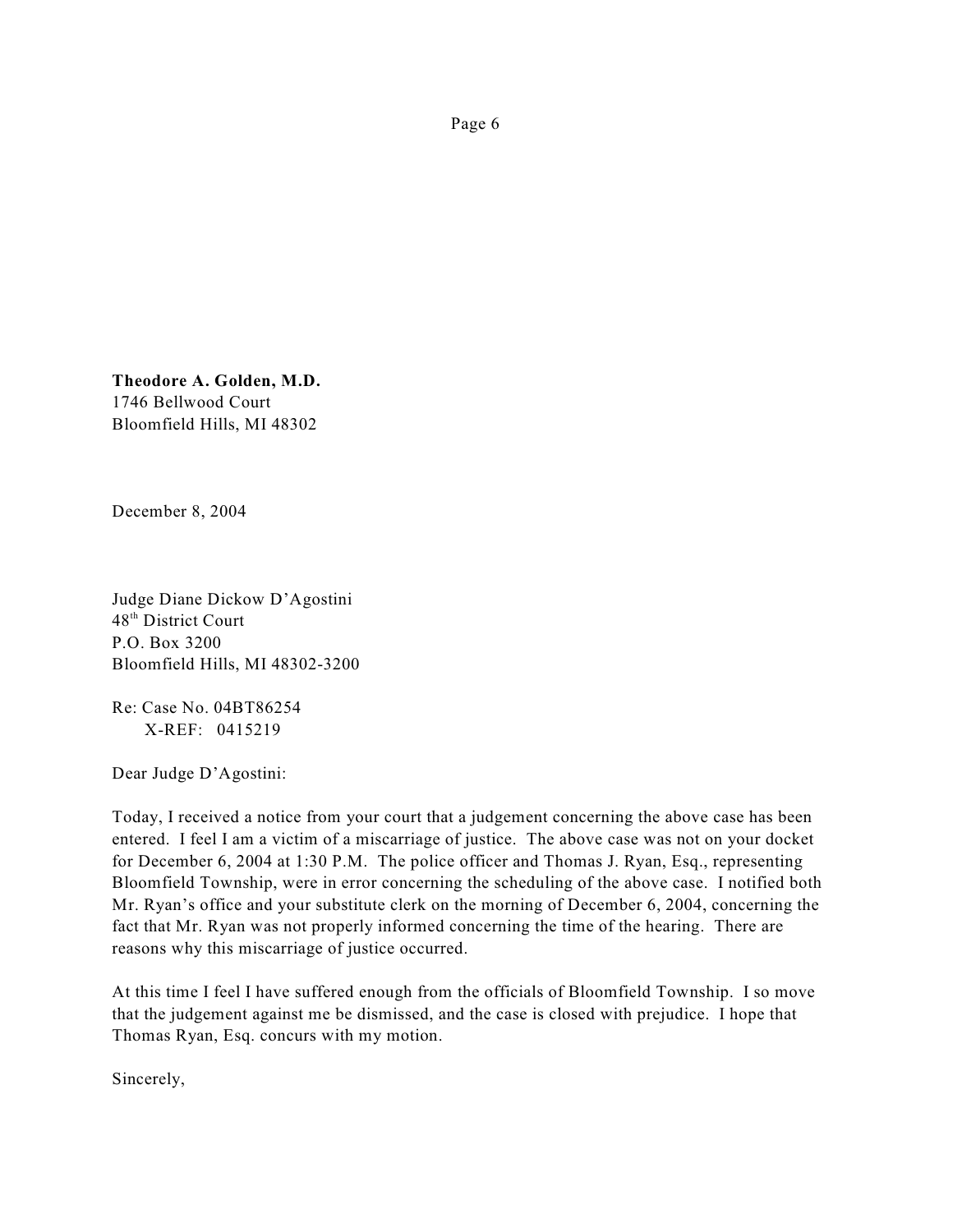**Theodore A. Golden, M.D.** 1746 Bellwood Court Bloomfield Hills, MI 48302

December 8, 2004

Judge Diane Dickow D'Agostini 48<sup>th</sup> District Court P.O. Box 3200 Bloomfield Hills, MI 48302-3200

Re: Case No. 04BT86254 X-REF: 0415219

Dear Judge D'Agostini:

Today, I received a notice from your court that a judgement concerning the above case has been entered. I feel I am a victim of a miscarriage of justice. The above case was not on your docket for December 6, 2004 at 1:30 P.M. The police officer and Thomas J. Ryan, Esq., representing Bloomfield Township, were in error concerning the scheduling of the above case. I notified both Mr. Ryan's office and your substitute clerk on the morning of December 6, 2004, concerning the fact that Mr. Ryan was not properly informed concerning the time of the hearing. There are reasons why this miscarriage of justice occurred.

At this time I feel I have suffered enough from the officials of Bloomfield Township. I so move that the judgement against me be dismissed, and the case is closed with prejudice. I hope that Thomas Ryan, Esq. concurs with my motion.

Sincerely,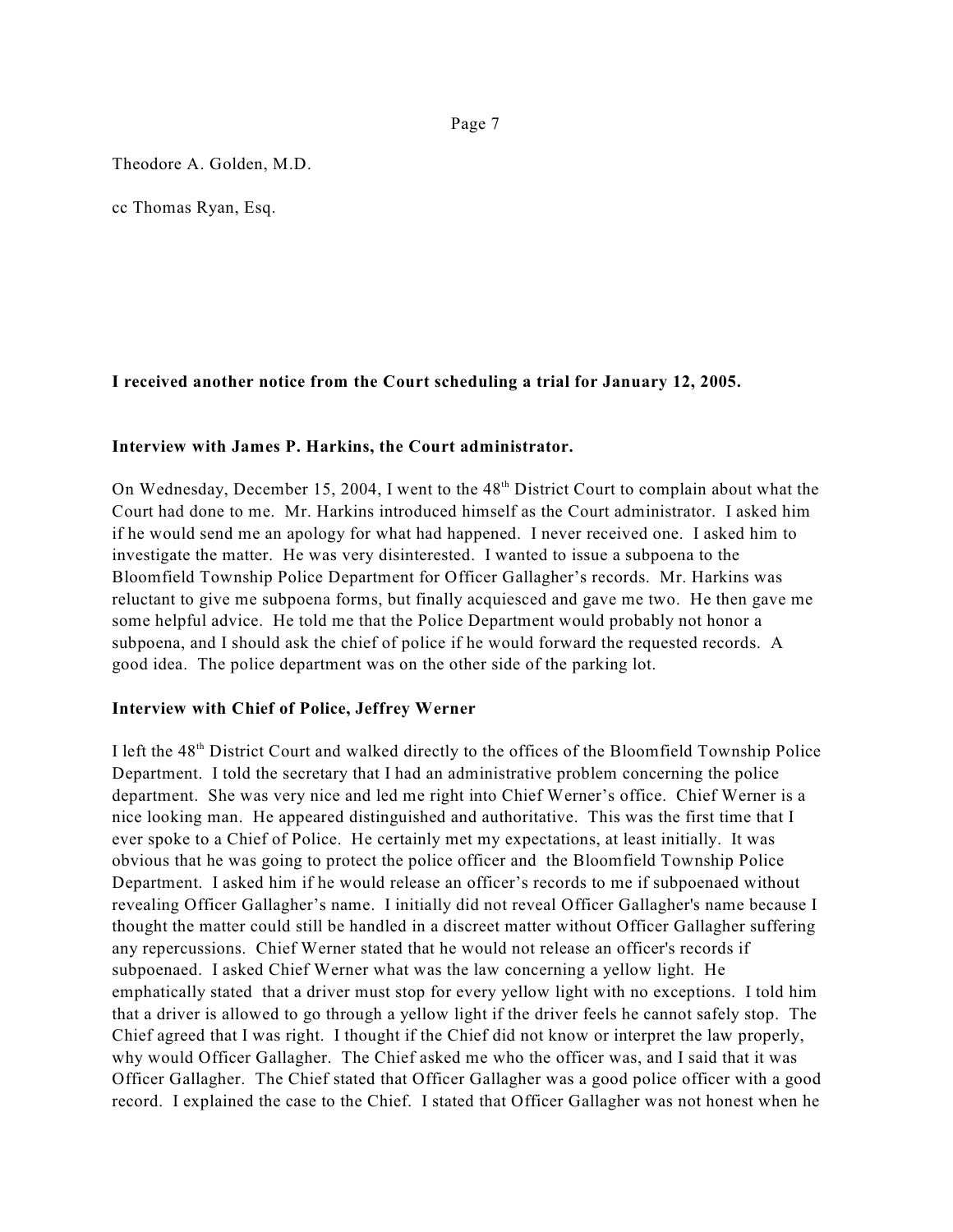Theodore A. Golden, M.D.

cc Thomas Ryan, Esq.

## **I received another notice from the Court scheduling a trial for January 12, 2005.**

### **Interview with James P. Harkins, the Court administrator.**

On Wednesday, December 15, 2004, I went to the  $48<sup>th</sup>$  District Court to complain about what the Court had done to me. Mr. Harkins introduced himself as the Court administrator. I asked him if he would send me an apology for what had happened. I never received one. I asked him to investigate the matter. He was very disinterested. I wanted to issue a subpoena to the Bloomfield Township Police Department for Officer Gallagher's records. Mr. Harkins was reluctant to give me subpoena forms, but finally acquiesced and gave me two. He then gave me some helpful advice. He told me that the Police Department would probably not honor a subpoena, and I should ask the chief of police if he would forward the requested records. A good idea. The police department was on the other side of the parking lot.

#### **Interview with Chief of Police, Jeffrey Werner**

I left the 48<sup>th</sup> District Court and walked directly to the offices of the Bloomfield Township Police Department. I told the secretary that I had an administrative problem concerning the police department. She was very nice and led me right into Chief Werner's office. Chief Werner is a nice looking man. He appeared distinguished and authoritative. This was the first time that I ever spoke to a Chief of Police. He certainly met my expectations, at least initially. It was obvious that he was going to protect the police officer and the Bloomfield Township Police Department. I asked him if he would release an officer's records to me if subpoenaed without revealing Officer Gallagher's name. I initially did not reveal Officer Gallagher's name because I thought the matter could still be handled in a discreet matter without Officer Gallagher suffering any repercussions. Chief Werner stated that he would not release an officer's records if subpoenaed. I asked Chief Werner what was the law concerning a yellow light. He emphatically stated that a driver must stop for every yellow light with no exceptions. I told him that a driver is allowed to go through a yellow light if the driver feels he cannot safely stop. The Chief agreed that I was right. I thought if the Chief did not know or interpret the law properly, why would Officer Gallagher. The Chief asked me who the officer was, and I said that it was Officer Gallagher. The Chief stated that Officer Gallagher was a good police officer with a good record. I explained the case to the Chief. I stated that Officer Gallagher was not honest when he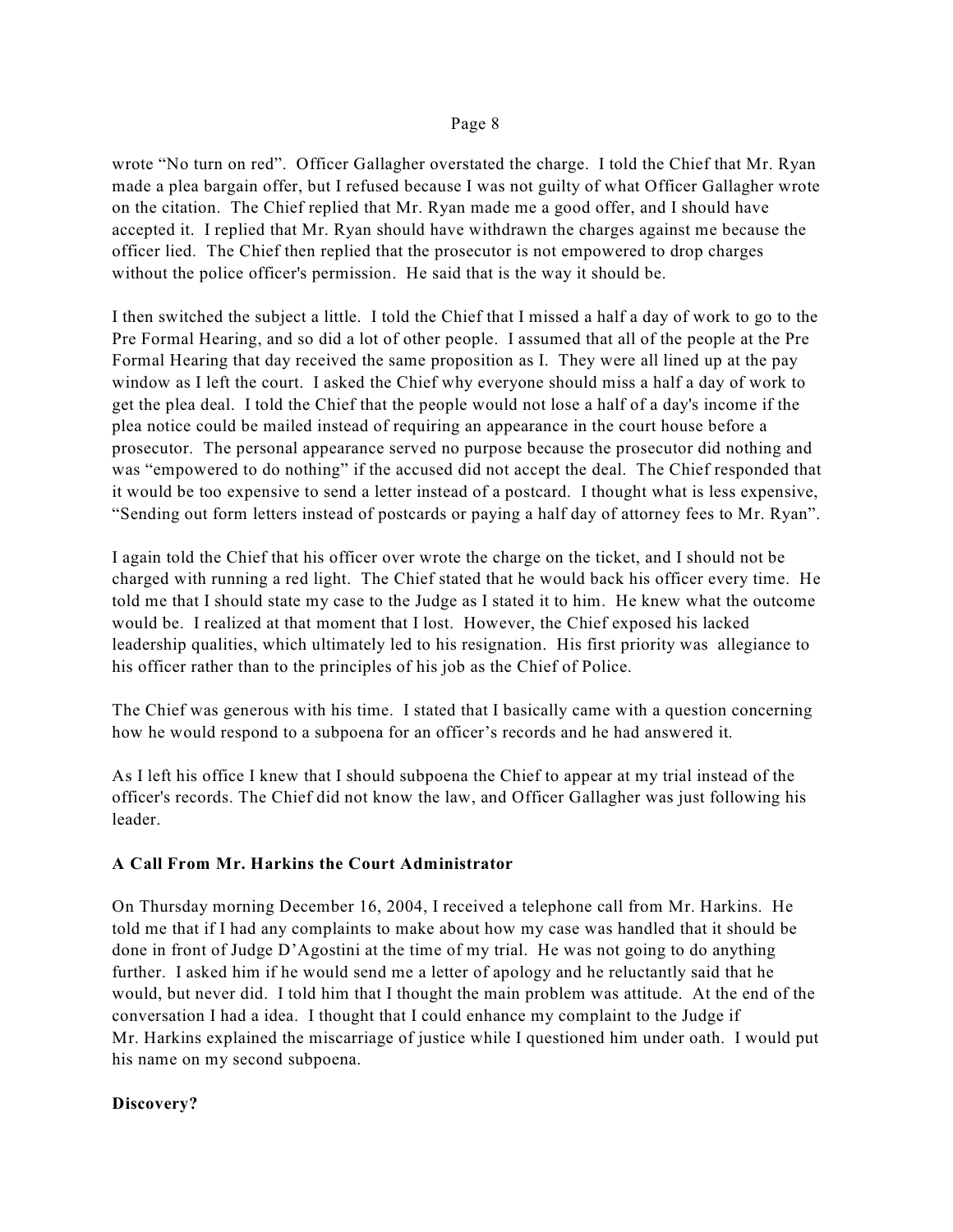wrote "No turn on red". Officer Gallagher overstated the charge. I told the Chief that Mr. Ryan made a plea bargain offer, but I refused because I was not guilty of what Officer Gallagher wrote on the citation. The Chief replied that Mr. Ryan made me a good offer, and I should have accepted it. I replied that Mr. Ryan should have withdrawn the charges against me because the officer lied. The Chief then replied that the prosecutor is not empowered to drop charges without the police officer's permission. He said that is the way it should be.

I then switched the subject a little. I told the Chief that I missed a half a day of work to go to the Pre Formal Hearing, and so did a lot of other people. I assumed that all of the people at the Pre Formal Hearing that day received the same proposition as I. They were all lined up at the pay window as I left the court. I asked the Chief why everyone should miss a half a day of work to get the plea deal. I told the Chief that the people would not lose a half of a day's income if the plea notice could be mailed instead of requiring an appearance in the court house before a prosecutor. The personal appearance served no purpose because the prosecutor did nothing and was "empowered to do nothing" if the accused did not accept the deal. The Chief responded that it would be too expensive to send a letter instead of a postcard. I thought what is less expensive, "Sending out form letters instead of postcards or paying a half day of attorney fees to Mr. Ryan".

I again told the Chief that his officer over wrote the charge on the ticket, and I should not be charged with running a red light. The Chief stated that he would back his officer every time. He told me that I should state my case to the Judge as I stated it to him. He knew what the outcome would be. I realized at that moment that I lost. However, the Chief exposed his lacked leadership qualities, which ultimately led to his resignation. His first priority was allegiance to his officer rather than to the principles of his job as the Chief of Police.

The Chief was generous with his time. I stated that I basically came with a question concerning how he would respond to a subpoena for an officer's records and he had answered it.

As I left his office I knew that I should subpoena the Chief to appear at my trial instead of the officer's records. The Chief did not know the law, and Officer Gallagher was just following his leader.

## **A Call From Mr. Harkins the Court Administrator**

On Thursday morning December 16, 2004, I received a telephone call from Mr. Harkins. He told me that if I had any complaints to make about how my case was handled that it should be done in front of Judge D'Agostini at the time of my trial. He was not going to do anything further. I asked him if he would send me a letter of apology and he reluctantly said that he would, but never did. I told him that I thought the main problem was attitude. At the end of the conversation I had a idea. I thought that I could enhance my complaint to the Judge if Mr. Harkins explained the miscarriage of justice while I questioned him under oath. I would put his name on my second subpoena.

# **Discovery?**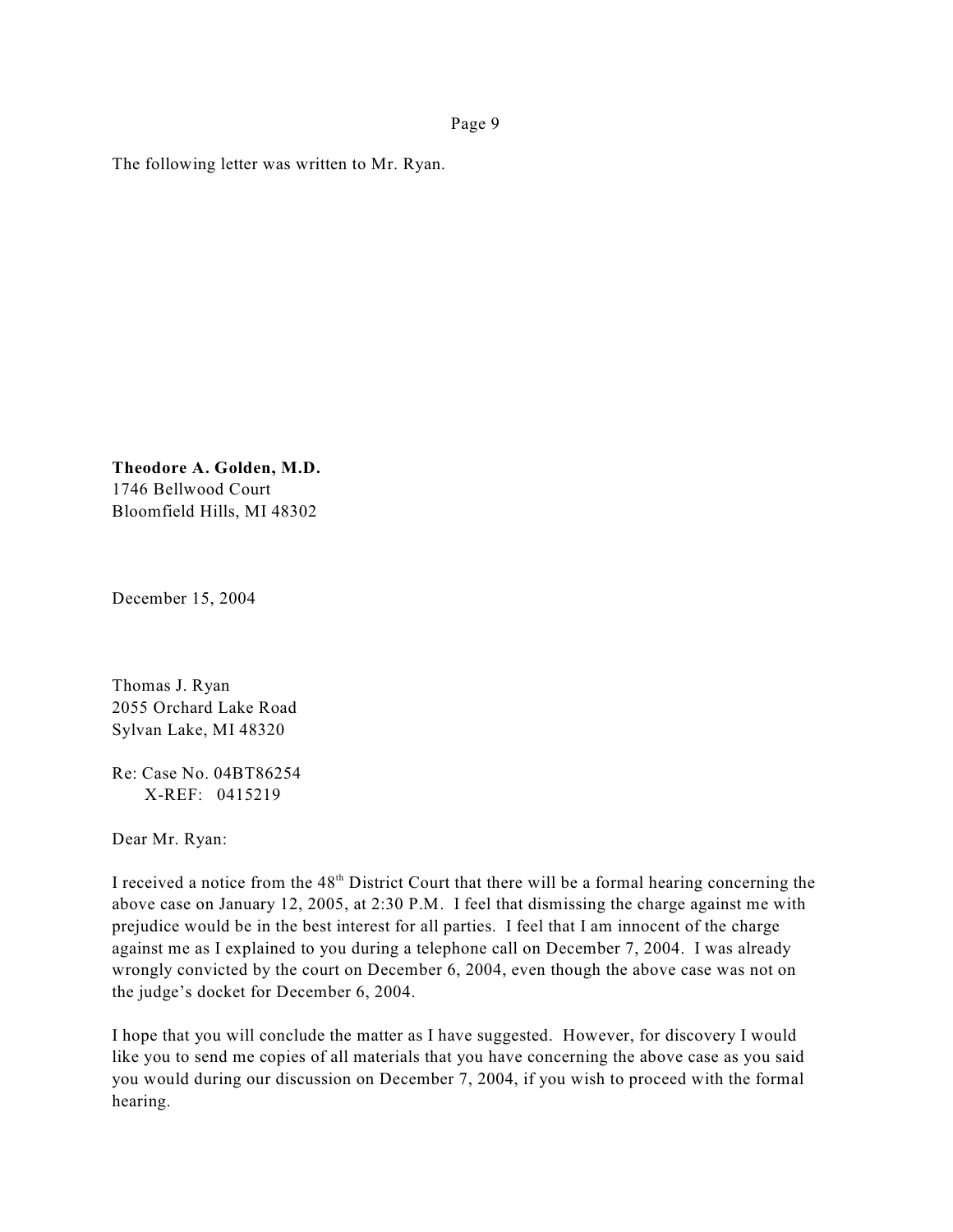The following letter was written to Mr. Ryan.

**Theodore A. Golden, M.D.** 1746 Bellwood Court Bloomfield Hills, MI 48302

December 15, 2004

Thomas J. Ryan 2055 Orchard Lake Road Sylvan Lake, MI 48320

Re: Case No. 04BT86254 X-REF: 0415219

Dear Mr. Ryan:

I received a notice from the  $48<sup>th</sup>$  District Court that there will be a formal hearing concerning the above case on January 12, 2005, at 2:30 P.M. I feel that dismissing the charge against me with prejudice would be in the best interest for all parties. I feel that I am innocent of the charge against me as I explained to you during a telephone call on December 7, 2004. I was already wrongly convicted by the court on December 6, 2004, even though the above case was not on the judge's docket for December 6, 2004.

I hope that you will conclude the matter as I have suggested. However, for discovery I would like you to send me copies of all materials that you have concerning the above case as you said you would during our discussion on December 7, 2004, if you wish to proceed with the formal hearing.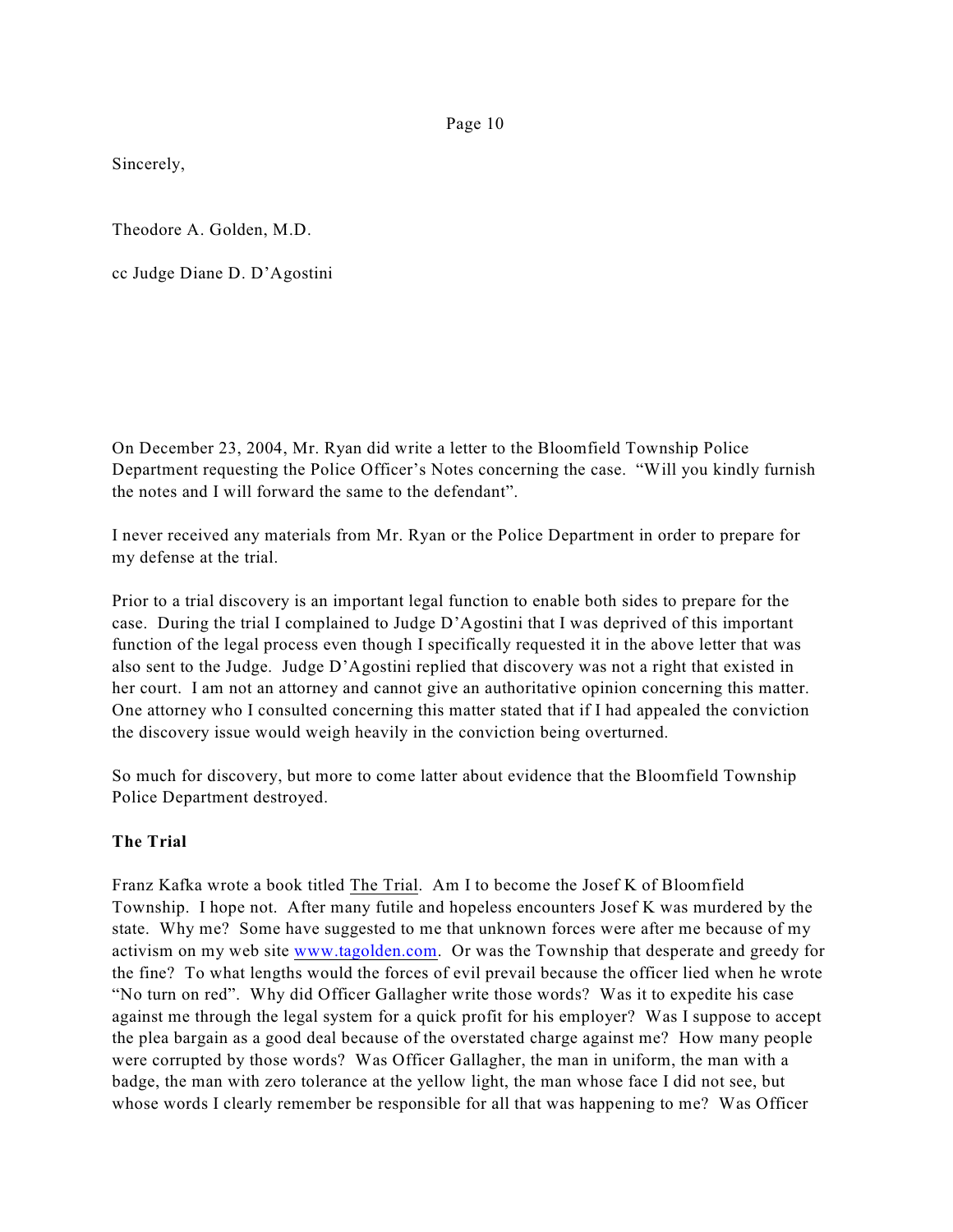Sincerely,

Theodore A. Golden, M.D.

cc Judge Diane D. D'Agostini

On December 23, 2004, Mr. Ryan did write a letter to the Bloomfield Township Police Department requesting the Police Officer's Notes concerning the case. "Will you kindly furnish the notes and I will forward the same to the defendant".

I never received any materials from Mr. Ryan or the Police Department in order to prepare for my defense at the trial.

Prior to a trial discovery is an important legal function to enable both sides to prepare for the case. During the trial I complained to Judge D'Agostini that I was deprived of this important function of the legal process even though I specifically requested it in the above letter that was also sent to the Judge. Judge D'Agostini replied that discovery was not a right that existed in her court. I am not an attorney and cannot give an authoritative opinion concerning this matter. One attorney who I consulted concerning this matter stated that if I had appealed the conviction the discovery issue would weigh heavily in the conviction being overturned.

So much for discovery, but more to come latter about evidence that the Bloomfield Township Police Department destroyed.

# **The Trial**

Franz Kafka wrote a book titled The Trial. Am I to become the Josef K of Bloomfield Township. I hope not. After many futile and hopeless encounters Josef K was murdered by the state. Why me? Some have suggested to me that unknown forces were after me because of my activism on my web site [www.tagolden.com](http://www.tagolden.com). Or was the Township that desperate and greedy for the fine? To what lengths would the forces of evil prevail because the officer lied when he wrote "No turn on red". Why did Officer Gallagher write those words? Was it to expedite his case against me through the legal system for a quick profit for his employer? Was I suppose to accept the plea bargain as a good deal because of the overstated charge against me? How many people were corrupted by those words? Was Officer Gallagher, the man in uniform, the man with a badge, the man with zero tolerance at the yellow light, the man whose face I did not see, but whose words I clearly remember be responsible for all that was happening to me? Was Officer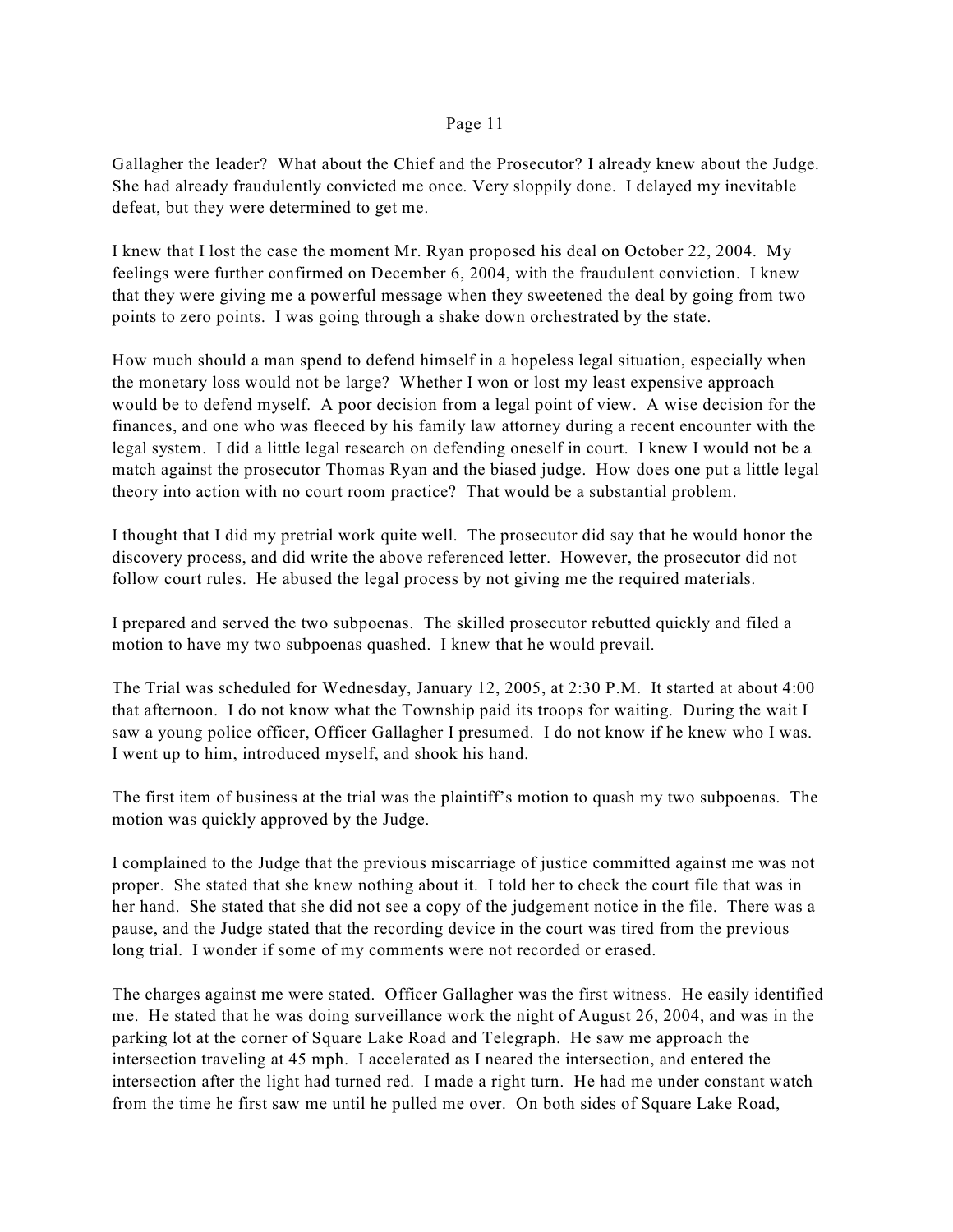Gallagher the leader? What about the Chief and the Prosecutor? I already knew about the Judge. She had already fraudulently convicted me once. Very sloppily done. I delayed my inevitable defeat, but they were determined to get me.

I knew that I lost the case the moment Mr. Ryan proposed his deal on October 22, 2004. My feelings were further confirmed on December 6, 2004, with the fraudulent conviction. I knew that they were giving me a powerful message when they sweetened the deal by going from two points to zero points. I was going through a shake down orchestrated by the state.

How much should a man spend to defend himself in a hopeless legal situation, especially when the monetary loss would not be large? Whether I won or lost my least expensive approach would be to defend myself. A poor decision from a legal point of view. A wise decision for the finances, and one who was fleeced by his family law attorney during a recent encounter with the legal system. I did a little legal research on defending oneself in court. I knew I would not be a match against the prosecutor Thomas Ryan and the biased judge. How does one put a little legal theory into action with no court room practice? That would be a substantial problem.

I thought that I did my pretrial work quite well. The prosecutor did say that he would honor the discovery process, and did write the above referenced letter. However, the prosecutor did not follow court rules. He abused the legal process by not giving me the required materials.

I prepared and served the two subpoenas. The skilled prosecutor rebutted quickly and filed a motion to have my two subpoenas quashed. I knew that he would prevail.

The Trial was scheduled for Wednesday, January 12, 2005, at 2:30 P.M. It started at about 4:00 that afternoon. I do not know what the Township paid its troops for waiting. During the wait I saw a young police officer, Officer Gallagher I presumed. I do not know if he knew who I was. I went up to him, introduced myself, and shook his hand.

The first item of business at the trial was the plaintiff's motion to quash my two subpoenas. The motion was quickly approved by the Judge.

I complained to the Judge that the previous miscarriage of justice committed against me was not proper. She stated that she knew nothing about it. I told her to check the court file that was in her hand. She stated that she did not see a copy of the judgement notice in the file. There was a pause, and the Judge stated that the recording device in the court was tired from the previous long trial. I wonder if some of my comments were not recorded or erased.

The charges against me were stated. Officer Gallagher was the first witness. He easily identified me. He stated that he was doing surveillance work the night of August 26, 2004, and was in the parking lot at the corner of Square Lake Road and Telegraph. He saw me approach the intersection traveling at 45 mph. I accelerated as I neared the intersection, and entered the intersection after the light had turned red. I made a right turn. He had me under constant watch from the time he first saw me until he pulled me over. On both sides of Square Lake Road,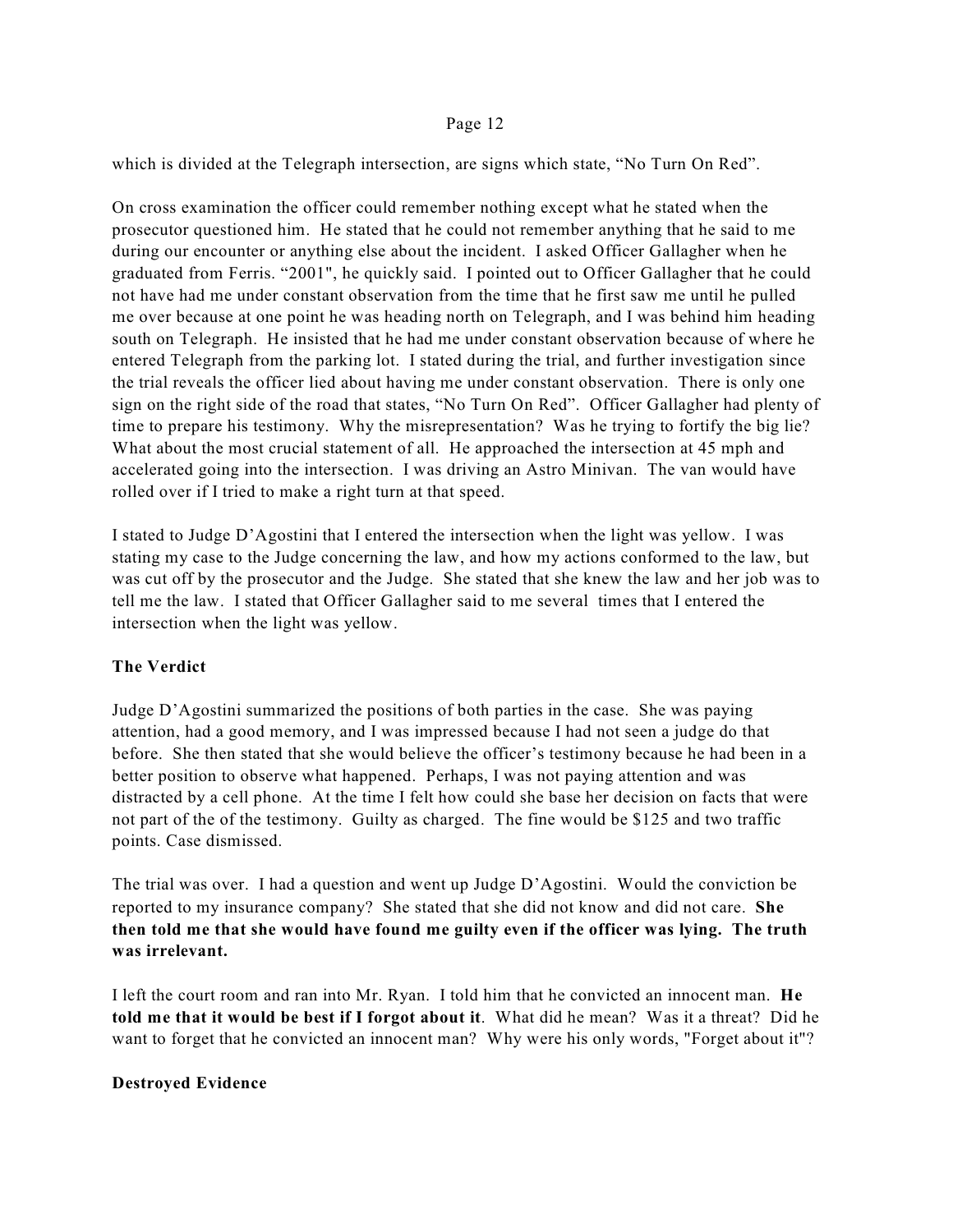which is divided at the Telegraph intersection, are signs which state, "No Turn On Red".

On cross examination the officer could remember nothing except what he stated when the prosecutor questioned him. He stated that he could not remember anything that he said to me during our encounter or anything else about the incident. I asked Officer Gallagher when he graduated from Ferris. "2001", he quickly said. I pointed out to Officer Gallagher that he could not have had me under constant observation from the time that he first saw me until he pulled me over because at one point he was heading north on Telegraph, and I was behind him heading south on Telegraph. He insisted that he had me under constant observation because of where he entered Telegraph from the parking lot. I stated during the trial, and further investigation since the trial reveals the officer lied about having me under constant observation. There is only one sign on the right side of the road that states, "No Turn On Red". Officer Gallagher had plenty of time to prepare his testimony. Why the misrepresentation? Was he trying to fortify the big lie? What about the most crucial statement of all. He approached the intersection at 45 mph and accelerated going into the intersection. I was driving an Astro Minivan. The van would have rolled over if I tried to make a right turn at that speed.

I stated to Judge D'Agostini that I entered the intersection when the light was yellow. I was stating my case to the Judge concerning the law, and how my actions conformed to the law, but was cut off by the prosecutor and the Judge. She stated that she knew the law and her job was to tell me the law. I stated that Officer Gallagher said to me several times that I entered the intersection when the light was yellow.

# **The Verdict**

Judge D'Agostini summarized the positions of both parties in the case. She was paying attention, had a good memory, and I was impressed because I had not seen a judge do that before. She then stated that she would believe the officer's testimony because he had been in a better position to observe what happened. Perhaps, I was not paying attention and was distracted by a cell phone. At the time I felt how could she base her decision on facts that were not part of the of the testimony. Guilty as charged. The fine would be \$125 and two traffic points. Case dismissed.

The trial was over. I had a question and went up Judge D'Agostini. Would the conviction be reported to my insurance company? She stated that she did not know and did not care. **She then told me that she would have found me guilty even if the officer was lying. The truth was irrelevant.** 

I left the court room and ran into Mr. Ryan. I told him that he convicted an innocent man. **He told me that it would be best if I forgot about it**. What did he mean? Was it a threat? Did he want to forget that he convicted an innocent man? Why were his only words, "Forget about it"?

# **Destroyed Evidence**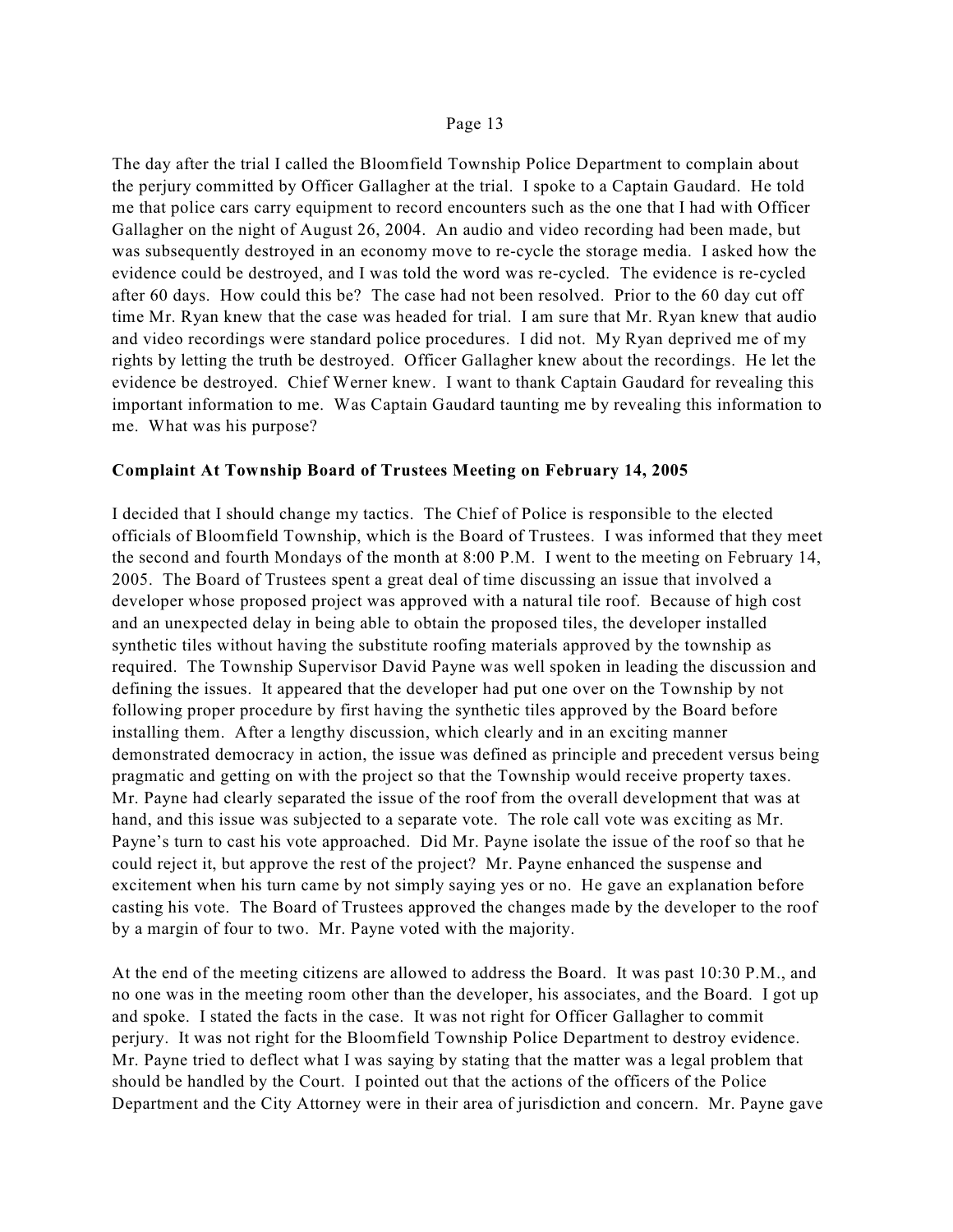The day after the trial I called the Bloomfield Township Police Department to complain about the perjury committed by Officer Gallagher at the trial. I spoke to a Captain Gaudard. He told me that police cars carry equipment to record encounters such as the one that I had with Officer Gallagher on the night of August 26, 2004. An audio and video recording had been made, but was subsequently destroyed in an economy move to re-cycle the storage media. I asked how the evidence could be destroyed, and I was told the word was re-cycled. The evidence is re-cycled after 60 days. How could this be? The case had not been resolved. Prior to the 60 day cut off time Mr. Ryan knew that the case was headed for trial. I am sure that Mr. Ryan knew that audio and video recordings were standard police procedures. I did not. My Ryan deprived me of my rights by letting the truth be destroyed. Officer Gallagher knew about the recordings. He let the evidence be destroyed. Chief Werner knew. I want to thank Captain Gaudard for revealing this important information to me. Was Captain Gaudard taunting me by revealing this information to me. What was his purpose?

## **Complaint At Township Board of Trustees Meeting on February 14, 2005**

I decided that I should change my tactics. The Chief of Police is responsible to the elected officials of Bloomfield Township, which is the Board of Trustees. I was informed that they meet the second and fourth Mondays of the month at 8:00 P.M. I went to the meeting on February 14, 2005. The Board of Trustees spent a great deal of time discussing an issue that involved a developer whose proposed project was approved with a natural tile roof. Because of high cost and an unexpected delay in being able to obtain the proposed tiles, the developer installed synthetic tiles without having the substitute roofing materials approved by the township as required. The Township Supervisor David Payne was well spoken in leading the discussion and defining the issues. It appeared that the developer had put one over on the Township by not following proper procedure by first having the synthetic tiles approved by the Board before installing them. After a lengthy discussion, which clearly and in an exciting manner demonstrated democracy in action, the issue was defined as principle and precedent versus being pragmatic and getting on with the project so that the Township would receive property taxes. Mr. Payne had clearly separated the issue of the roof from the overall development that was at hand, and this issue was subjected to a separate vote. The role call vote was exciting as Mr. Payne's turn to cast his vote approached. Did Mr. Payne isolate the issue of the roof so that he could reject it, but approve the rest of the project? Mr. Payne enhanced the suspense and excitement when his turn came by not simply saying yes or no. He gave an explanation before casting his vote. The Board of Trustees approved the changes made by the developer to the roof by a margin of four to two. Mr. Payne voted with the majority.

At the end of the meeting citizens are allowed to address the Board. It was past 10:30 P.M., and no one was in the meeting room other than the developer, his associates, and the Board. I got up and spoke. I stated the facts in the case. It was not right for Officer Gallagher to commit perjury. It was not right for the Bloomfield Township Police Department to destroy evidence. Mr. Payne tried to deflect what I was saying by stating that the matter was a legal problem that should be handled by the Court. I pointed out that the actions of the officers of the Police Department and the City Attorney were in their area of jurisdiction and concern. Mr. Payne gave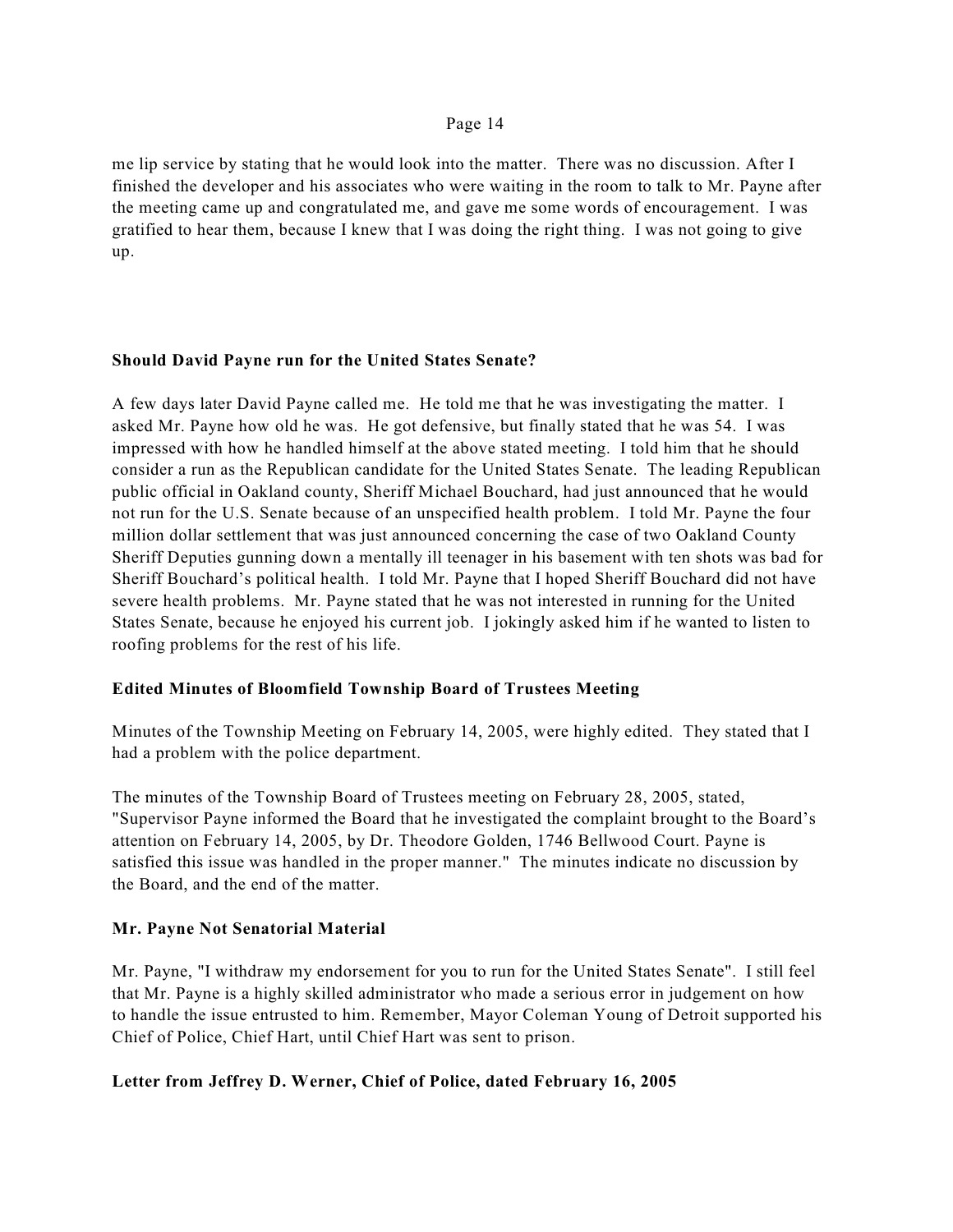me lip service by stating that he would look into the matter. There was no discussion. After I finished the developer and his associates who were waiting in the room to talk to Mr. Payne after the meeting came up and congratulated me, and gave me some words of encouragement. I was gratified to hear them, because I knew that I was doing the right thing. I was not going to give up.

## **Should David Payne run for the United States Senate?**

A few days later David Payne called me. He told me that he was investigating the matter. I asked Mr. Payne how old he was. He got defensive, but finally stated that he was 54. I was impressed with how he handled himself at the above stated meeting. I told him that he should consider a run as the Republican candidate for the United States Senate. The leading Republican public official in Oakland county, Sheriff Michael Bouchard, had just announced that he would not run for the U.S. Senate because of an unspecified health problem. I told Mr. Payne the four million dollar settlement that was just announced concerning the case of two Oakland County Sheriff Deputies gunning down a mentally ill teenager in his basement with ten shots was bad for Sheriff Bouchard's political health. I told Mr. Payne that I hoped Sheriff Bouchard did not have severe health problems. Mr. Payne stated that he was not interested in running for the United States Senate, because he enjoyed his current job. I jokingly asked him if he wanted to listen to roofing problems for the rest of his life.

## **Edited Minutes of Bloomfield Township Board of Trustees Meeting**

Minutes of the Township Meeting on February 14, 2005, were highly edited. They stated that I had a problem with the police department.

The minutes of the Township Board of Trustees meeting on February 28, 2005, stated, "Supervisor Payne informed the Board that he investigated the complaint brought to the Board's attention on February 14, 2005, by Dr. Theodore Golden, 1746 Bellwood Court. Payne is satisfied this issue was handled in the proper manner." The minutes indicate no discussion by the Board, and the end of the matter.

## **Mr. Payne Not Senatorial Material**

Mr. Payne, "I withdraw my endorsement for you to run for the United States Senate". I still feel that Mr. Payne is a highly skilled administrator who made a serious error in judgement on how to handle the issue entrusted to him. Remember, Mayor Coleman Young of Detroit supported his Chief of Police, Chief Hart, until Chief Hart was sent to prison.

## **Letter from Jeffrey D. Werner, Chief of Police, dated February 16, 2005**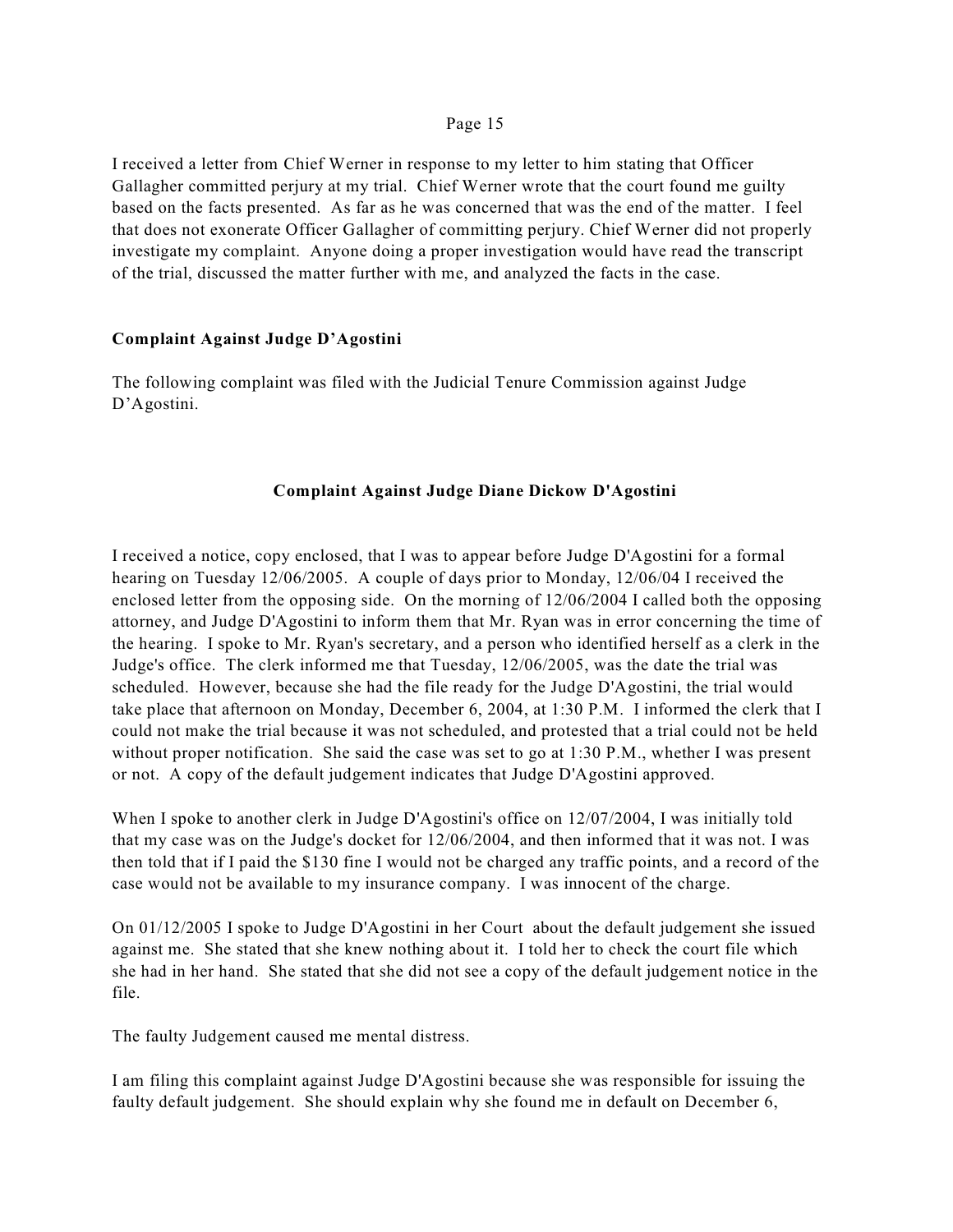I received a letter from Chief Werner in response to my letter to him stating that Officer Gallagher committed perjury at my trial. Chief Werner wrote that the court found me guilty based on the facts presented. As far as he was concerned that was the end of the matter. I feel that does not exonerate Officer Gallagher of committing perjury. Chief Werner did not properly investigate my complaint. Anyone doing a proper investigation would have read the transcript of the trial, discussed the matter further with me, and analyzed the facts in the case.

## **Complaint Against Judge D'Agostini**

The following complaint was filed with the Judicial Tenure Commission against Judge D'Agostini.

## **Complaint Against Judge Diane Dickow D'Agostini**

I received a notice, copy enclosed, that I was to appear before Judge D'Agostini for a formal hearing on Tuesday 12/06/2005. A couple of days prior to Monday, 12/06/04 I received the enclosed letter from the opposing side. On the morning of 12/06/2004 I called both the opposing attorney, and Judge D'Agostini to inform them that Mr. Ryan was in error concerning the time of the hearing. I spoke to Mr. Ryan's secretary, and a person who identified herself as a clerk in the Judge's office. The clerk informed me that Tuesday, 12/06/2005, was the date the trial was scheduled. However, because she had the file ready for the Judge D'Agostini, the trial would take place that afternoon on Monday, December 6, 2004, at 1:30 P.M. I informed the clerk that I could not make the trial because it was not scheduled, and protested that a trial could not be held without proper notification. She said the case was set to go at 1:30 P.M., whether I was present or not. A copy of the default judgement indicates that Judge D'Agostini approved.

When I spoke to another clerk in Judge D'Agostini's office on 12/07/2004, I was initially told that my case was on the Judge's docket for 12/06/2004, and then informed that it was not. I was then told that if I paid the \$130 fine I would not be charged any traffic points, and a record of the case would not be available to my insurance company. I was innocent of the charge.

On 01/12/2005 I spoke to Judge D'Agostini in her Court about the default judgement she issued against me. She stated that she knew nothing about it. I told her to check the court file which she had in her hand. She stated that she did not see a copy of the default judgement notice in the file.

The faulty Judgement caused me mental distress.

I am filing this complaint against Judge D'Agostini because she was responsible for issuing the faulty default judgement. She should explain why she found me in default on December 6,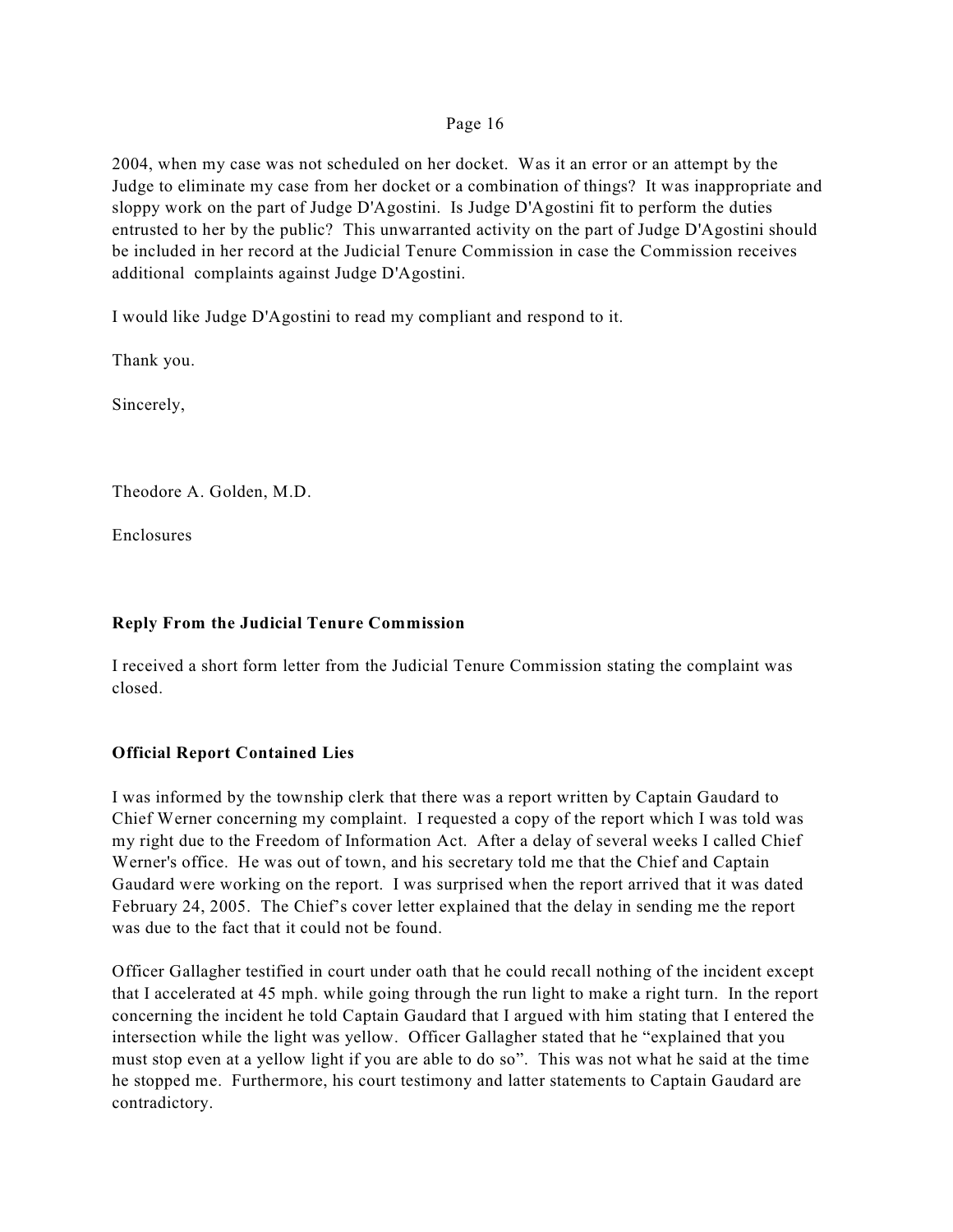2004, when my case was not scheduled on her docket. Was it an error or an attempt by the Judge to eliminate my case from her docket or a combination of things? It was inappropriate and sloppy work on the part of Judge D'Agostini. Is Judge D'Agostini fit to perform the duties entrusted to her by the public? This unwarranted activity on the part of Judge D'Agostini should be included in her record at the Judicial Tenure Commission in case the Commission receives additional complaints against Judge D'Agostini.

I would like Judge D'Agostini to read my compliant and respond to it.

Thank you.

Sincerely,

Theodore A. Golden, M.D.

Enclosures

# **Reply From the Judicial Tenure Commission**

I received a short form letter from the Judicial Tenure Commission stating the complaint was closed.

# **Official Report Contained Lies**

I was informed by the township clerk that there was a report written by Captain Gaudard to Chief Werner concerning my complaint. I requested a copy of the report which I was told was my right due to the Freedom of Information Act. After a delay of several weeks I called Chief Werner's office. He was out of town, and his secretary told me that the Chief and Captain Gaudard were working on the report. I was surprised when the report arrived that it was dated February 24, 2005. The Chief's cover letter explained that the delay in sending me the report was due to the fact that it could not be found.

Officer Gallagher testified in court under oath that he could recall nothing of the incident except that I accelerated at 45 mph. while going through the run light to make a right turn. In the report concerning the incident he told Captain Gaudard that I argued with him stating that I entered the intersection while the light was yellow. Officer Gallagher stated that he "explained that you must stop even at a yellow light if you are able to do so". This was not what he said at the time he stopped me. Furthermore, his court testimony and latter statements to Captain Gaudard are contradictory.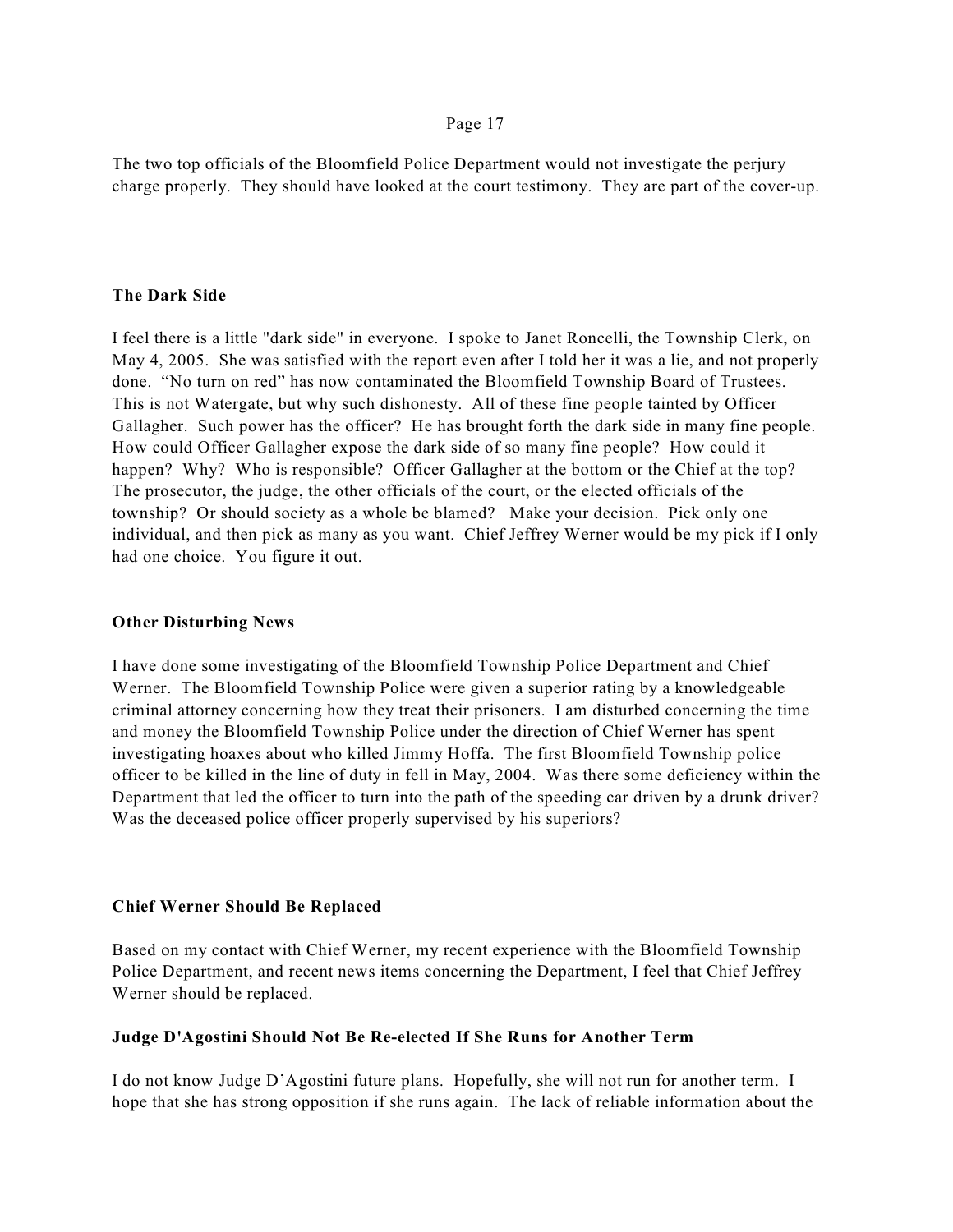The two top officials of the Bloomfield Police Department would not investigate the perjury charge properly. They should have looked at the court testimony. They are part of the cover-up.

## **The Dark Side**

I feel there is a little "dark side" in everyone. I spoke to Janet Roncelli, the Township Clerk, on May 4, 2005. She was satisfied with the report even after I told her it was a lie, and not properly done. "No turn on red" has now contaminated the Bloomfield Township Board of Trustees. This is not Watergate, but why such dishonesty. All of these fine people tainted by Officer Gallagher. Such power has the officer? He has brought forth the dark side in many fine people. How could Officer Gallagher expose the dark side of so many fine people? How could it happen? Why? Who is responsible? Officer Gallagher at the bottom or the Chief at the top? The prosecutor, the judge, the other officials of the court, or the elected officials of the township? Or should society as a whole be blamed? Make your decision. Pick only one individual, and then pick as many as you want. Chief Jeffrey Werner would be my pick if I only had one choice. You figure it out.

## **Other Disturbing News**

I have done some investigating of the Bloomfield Township Police Department and Chief Werner. The Bloomfield Township Police were given a superior rating by a knowledgeable criminal attorney concerning how they treat their prisoners. I am disturbed concerning the time and money the Bloomfield Township Police under the direction of Chief Werner has spent investigating hoaxes about who killed Jimmy Hoffa. The first Bloomfield Township police officer to be killed in the line of duty in fell in May, 2004. Was there some deficiency within the Department that led the officer to turn into the path of the speeding car driven by a drunk driver? Was the deceased police officer properly supervised by his superiors?

## **Chief Werner Should Be Replaced**

Based on my contact with Chief Werner, my recent experience with the Bloomfield Township Police Department, and recent news items concerning the Department, I feel that Chief Jeffrey Werner should be replaced.

## **Judge D'Agostini Should Not Be Re-elected If She Runs for Another Term**

I do not know Judge D'Agostini future plans. Hopefully, she will not run for another term. I hope that she has strong opposition if she runs again. The lack of reliable information about the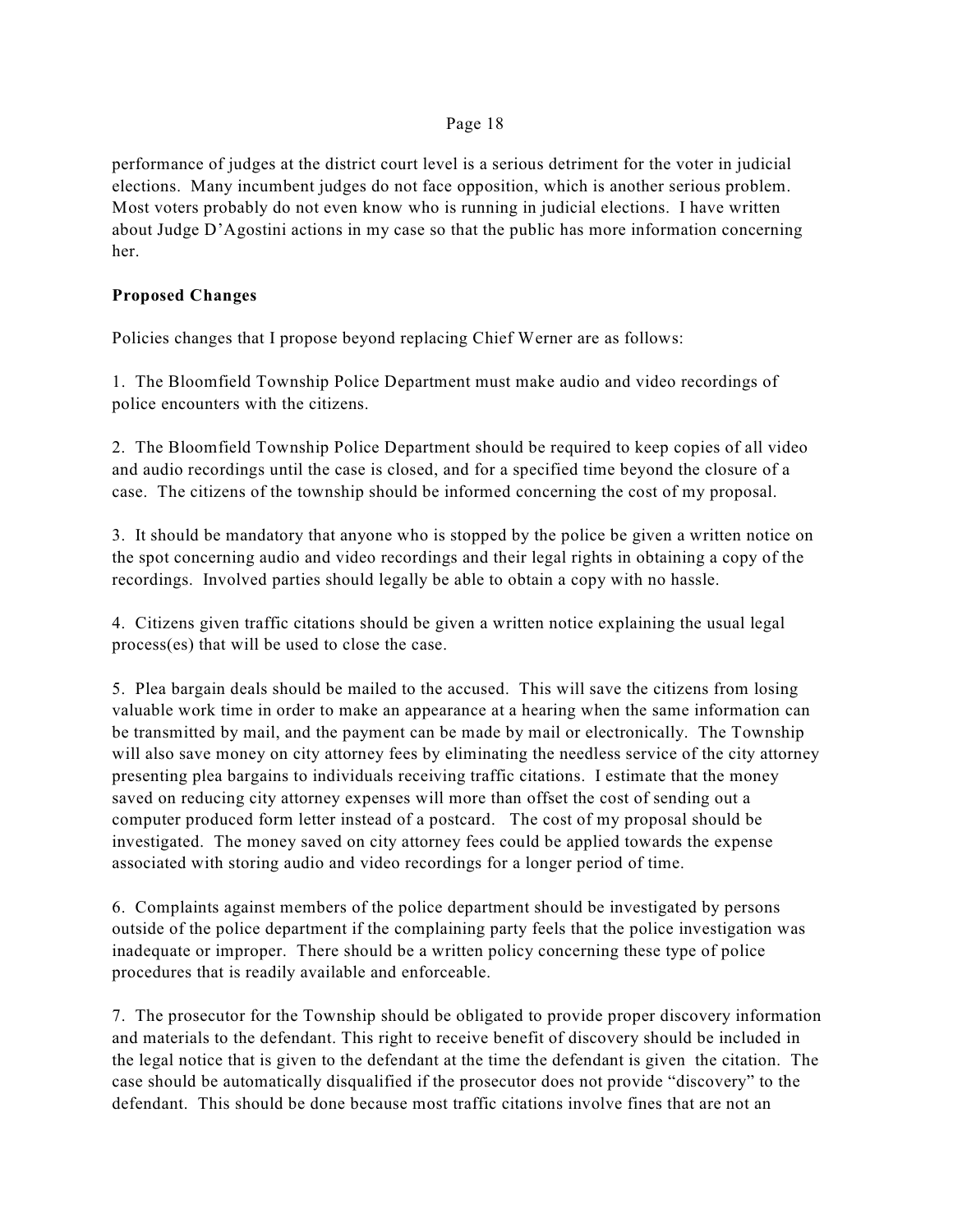performance of judges at the district court level is a serious detriment for the voter in judicial elections. Many incumbent judges do not face opposition, which is another serious problem. Most voters probably do not even know who is running in judicial elections. I have written about Judge D'Agostini actions in my case so that the public has more information concerning her.

## **Proposed Changes**

Policies changes that I propose beyond replacing Chief Werner are as follows:

1. The Bloomfield Township Police Department must make audio and video recordings of police encounters with the citizens.

2. The Bloomfield Township Police Department should be required to keep copies of all video and audio recordings until the case is closed, and for a specified time beyond the closure of a case.The citizens of the township should be informed concerning the cost of my proposal.

3. It should be mandatory that anyone who is stopped by the police be given a written notice on the spot concerning audio and video recordings and their legal rights in obtaining a copy of the recordings. Involved parties should legally be able to obtain a copy with no hassle.

4. Citizens given traffic citations should be given a written notice explaining the usual legal process(es) that will be used to close the case.

5. Plea bargain deals should be mailed to the accused. This will save the citizens from losing valuable work time in order to make an appearance at a hearing when the same information can be transmitted by mail, and the payment can be made by mail or electronically. The Township will also save money on city attorney fees by eliminating the needless service of the city attorney presenting plea bargains to individuals receiving traffic citations. I estimate that the money saved on reducing city attorney expenses will more than offset the cost of sending out a computer produced form letter instead of a postcard. The cost of my proposal should be investigated. The money saved on city attorney fees could be applied towards the expense associated with storing audio and video recordings for a longer period of time.

6. Complaints against members of the police department should be investigated by persons outside of the police department if the complaining party feels that the police investigation was inadequate or improper. There should be a written policy concerning these type of police procedures that is readily available and enforceable.

7. The prosecutor for the Township should be obligated to provide proper discovery information and materials to the defendant. This right to receive benefit of discovery should be included in the legal notice that is given to the defendant at the time the defendant is given the citation. The case should be automatically disqualified if the prosecutor does not provide "discovery" to the defendant. This should be done because most traffic citations involve fines that are not an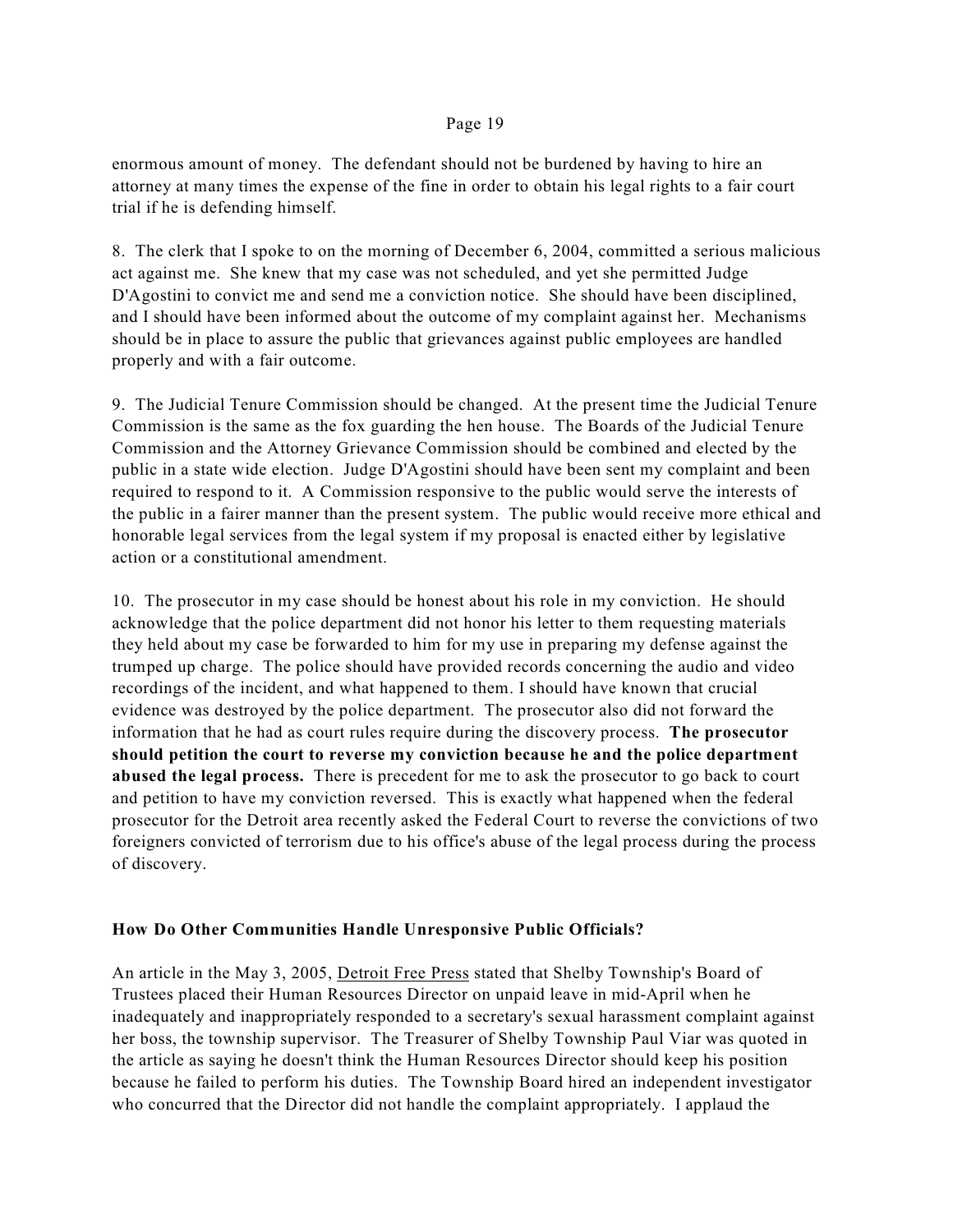enormous amount of money. The defendant should not be burdened by having to hire an attorney at many times the expense of the fine in order to obtain his legal rights to a fair court trial if he is defending himself.

8. The clerk that I spoke to on the morning of December 6, 2004, committed a serious malicious act against me. She knew that my case was not scheduled, and yet she permitted Judge D'Agostini to convict me and send me a conviction notice. She should have been disciplined, and I should have been informed about the outcome of my complaint against her. Mechanisms should be in place to assure the public that grievances against public employees are handled properly and with a fair outcome.

9. The Judicial Tenure Commission should be changed. At the present time the Judicial Tenure Commission is the same as the fox guarding the hen house. The Boards of the Judicial Tenure Commission and the Attorney Grievance Commission should be combined and elected by the public in a state wide election. Judge D'Agostini should have been sent my complaint and been required to respond to it. A Commission responsive to the public would serve the interests of the public in a fairer manner than the present system. The public would receive more ethical and honorable legal services from the legal system if my proposal is enacted either by legislative action or a constitutional amendment.

10. The prosecutor in my case should be honest about his role in my conviction. He should acknowledge that the police department did not honor his letter to them requesting materials they held about my case be forwarded to him for my use in preparing my defense against the trumped up charge. The police should have provided records concerning the audio and video recordings of the incident, and what happened to them. I should have known that crucial evidence was destroyed by the police department. The prosecutor also did not forward the information that he had as court rules require during the discovery process. **The prosecutor should petition the court to reverse my conviction because he and the police department abused the legal process.** There is precedent for me to ask the prosecutor to go back to court and petition to have my conviction reversed. This is exactly what happened when the federal prosecutor for the Detroit area recently asked the Federal Court to reverse the convictions of two foreigners convicted of terrorism due to his office's abuse of the legal process during the process of discovery.

## **How Do Other Communities Handle Unresponsive Public Officials?**

An article in the May 3, 2005, Detroit Free Press stated that Shelby Township's Board of Trustees placed their Human Resources Director on unpaid leave in mid-April when he inadequately and inappropriately responded to a secretary's sexual harassment complaint against her boss, the township supervisor. The Treasurer of Shelby Township Paul Viar was quoted in the article as saying he doesn't think the Human Resources Director should keep his position because he failed to perform his duties. The Township Board hired an independent investigator who concurred that the Director did not handle the complaint appropriately. I applaud the